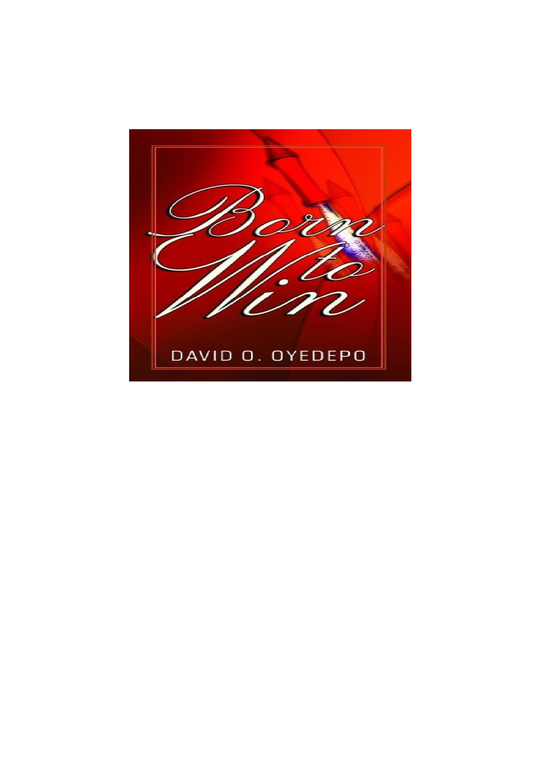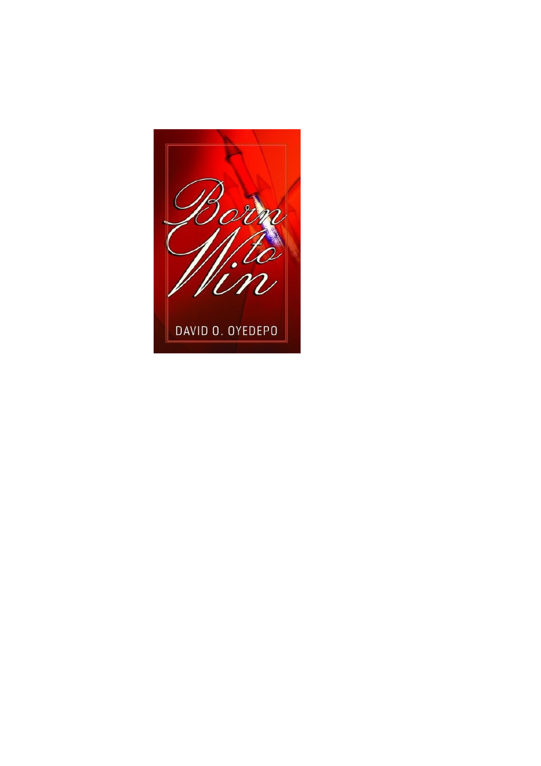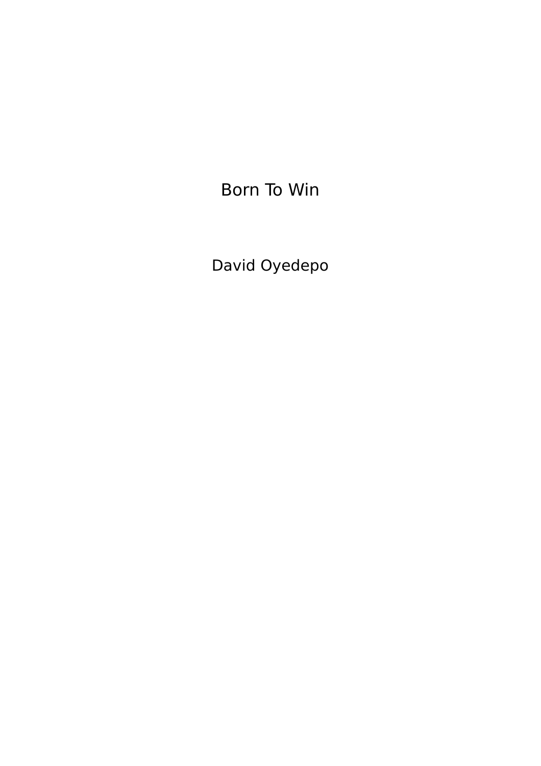Born To Win

David Oyedepo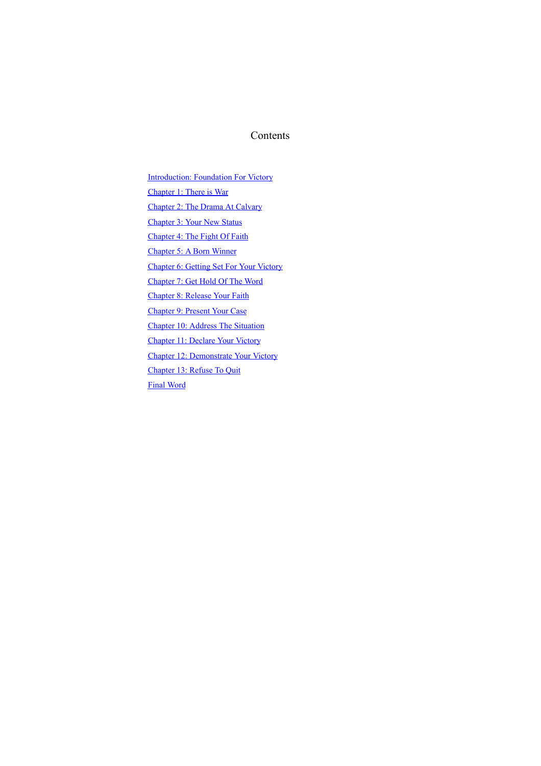# **Contents**

Introduction: Foundation For Victory

Chapter 1: There is War

Chapter 2: The Drama At Calvary

Chapter 3: Your New Status

Chapter 4: The Fight Of Faith

Chapter 5: A Born Winner

Chapter 6: Getting Set For Your Victory

Chapter 7: Get Hold Of The Word

Chapter 8: Release Your Faith

Chapter 9: Present Your Case

Chapter 10: Address The Situation

Chapter 11: Declare Your Victory

Chapter 12: Demonstrate Your Victory

Chapter 13: Refuse To Quit

Final Word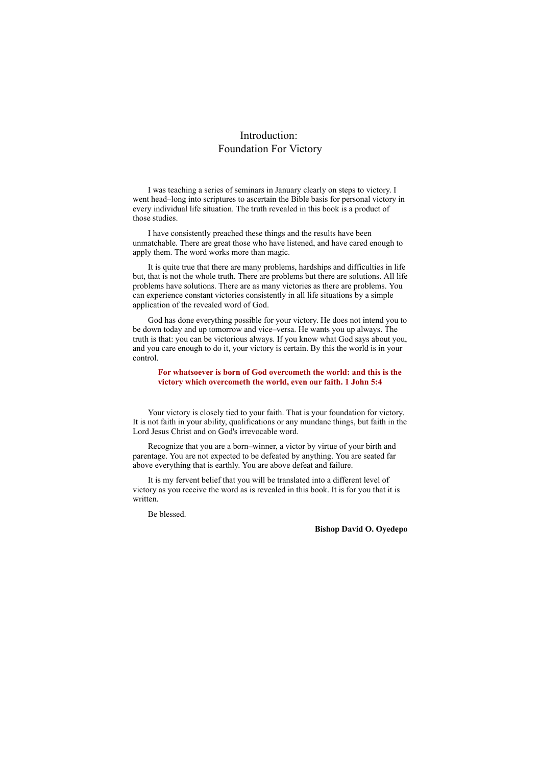# Introduction: Foundation For Victory

I was teaching a series of seminars in January clearly on steps to victory. I went head–long into scriptures to ascertain the Bible basis for personal victory in every individual life situation. The truth revealed in this book is a product of those studies.

I have consistently preached these things and the results have been unmatchable. There are great those who have listened, and have cared enough to apply them. The word works more than magic.

It is quite true that there are many problems, hardships and difficulties in life but, that is not the whole truth. There are problems but there are solutions. All life problems have solutions. There are as many victories as there are problems. You can experience constant victories consistently in all life situations by a simple application of the revealed word of God.

God has done everything possible for your victory. He does not intend you to be down today and up tomorrow and vice–versa. He wants you up always. The truth is that: you can be victorious always. If you know what God says about you, and you care enough to do it, your victory is certain. By this the world is in your control.

#### **For whatsoever is born of God overcometh the world: and this is the victory which overcometh the world, even our faith. 1 John 5:4**

Your victory is closely tied to your faith. That is your foundation for victory. It is not faith in your ability, qualifications or any mundane things, but faith in the Lord Jesus Christ and on God's irrevocable word.

Recognize that you are a born–winner, a victor by virtue of your birth and parentage. You are not expected to be defeated by anything. You are seated far above everything that is earthly. You are above defeat and failure.

It is my fervent belief that you will be translated into a different level of victory as you receive the word as is revealed in this book. It is for you that it is written.

Be blessed.

# **Bishop David O. Oyedepo**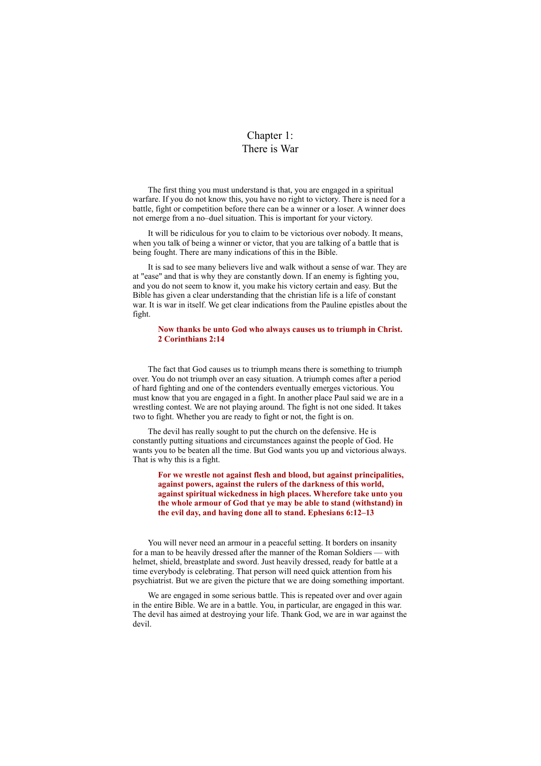# Chapter 1: There is War

The first thing you must understand is that, you are engaged in a spiritual warfare. If you do not know this, you have no right to victory. There is need for a battle, fight or competition before there can be a winner or a loser. A winner does not emerge from a no–duel situation. This is important for your victory.

It will be ridiculous for you to claim to be victorious over nobody. It means, when you talk of being a winner or victor, that you are talking of a battle that is being fought. There are many indications of this in the Bible.

It is sad to see many believers live and walk without a sense of war. They are at "ease" and that is why they are constantly down. If an enemy is fighting you, and you do not seem to know it, you make his victory certain and easy. But the Bible has given a clear understanding that the christian life is a life of constant war. It is war in itself. We get clear indications from the Pauline epistles about the fight.

### **Now thanks be unto God who always causes us to triumph in Christ. 2 Corinthians 2:14**

The fact that God causes us to triumph means there is something to triumph over. You do not triumph over an easy situation. A triumph comes after a period of hard fighting and one of the contenders eventually emerges victorious. You must know that you are engaged in a fight. In another place Paul said we are in a wrestling contest. We are not playing around. The fight is not one sided. It takes two to fight. Whether you are ready to fight or not, the fight is on.

The devil has really sought to put the church on the defensive. He is constantly putting situations and circumstances against the people of God. He wants you to be beaten all the time. But God wants you up and victorious always. That is why this is a fight.

**For we wrestle not against flesh and blood, but against principalities, against powers, against the rulers of the darkness of this world, against spiritual wickedness in high places. Wherefore take unto you the whole armour of God that ye may be able to stand (withstand) in the evil day, and having done all to stand. Ephesians 6:12–13**

You will never need an armour in a peaceful setting. It borders on insanity for a man to be heavily dressed after the manner of the Roman Soldiers — with helmet, shield, breastplate and sword. Just heavily dressed, ready for battle at a time everybody is celebrating. That person will need quick attention from his psychiatrist. But we are given the picture that we are doing something important.

We are engaged in some serious battle. This is repeated over and over again in the entire Bible. We are in a battle. You, in particular, are engaged in this war. The devil has aimed at destroying your life. Thank God, we are in war against the devil.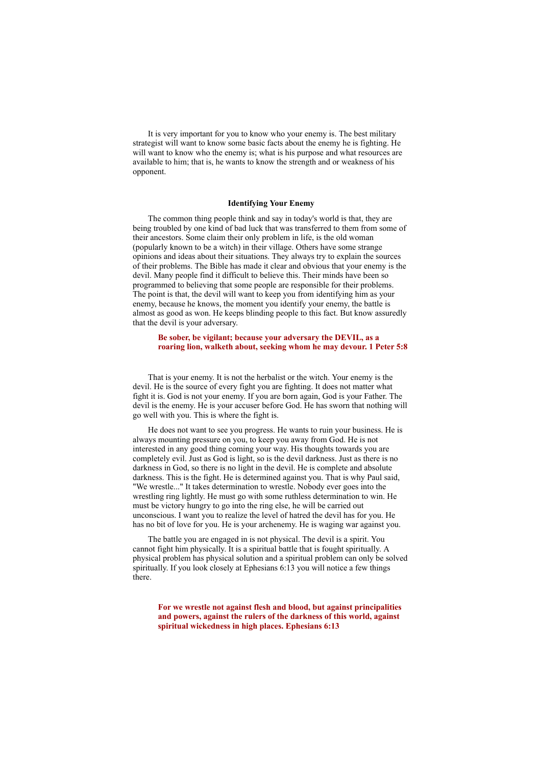It is very important for you to know who your enemy is. The best military strategist will want to know some basic facts about the enemy he is fighting. He will want to know who the enemy is; what is his purpose and what resources are available to him; that is, he wants to know the strength and or weakness of his opponent.

#### **Identifying Your Enemy**

The common thing people think and say in today's world is that, they are being troubled by one kind of bad luck that was transferred to them from some of their ancestors. Some claim their only problem in life, is the old woman (popularly known to be a witch) in their village. Others have some strange opinions and ideas about their situations. They always try to explain the sources of their problems. The Bible has made it clear and obvious that your enemy is the devil. Many people find it difficult to believe this. Their minds have been so programmed to believing that some people are responsible for their problems. The point is that, the devil will want to keep you from identifying him as your enemy, because he knows, the moment you identify your enemy, the battle is almost as good as won. He keeps blinding people to this fact. But know assuredly that the devil is your adversary.

# **Be sober, be vigilant; because your adversary the DEVIL, as a roaring lion, walketh about, seeking whom he may devour. 1 Peter 5:8**

That is your enemy. It is not the herbalist or the witch. Your enemy is the devil. He is the source of every fight you are fighting. It does not matter what fight it is. God is not your enemy. If you are born again, God is your Father. The devil is the enemy. He is your accuser before God. He has sworn that nothing will go well with you. This is where the fight is.

He does not want to see you progress. He wants to ruin your business. He is always mounting pressure on you, to keep you away from God. He is not interested in any good thing coming your way. His thoughts towards you are completely evil. Just as God is light, so is the devil darkness. Just as there is no darkness in God, so there is no light in the devil. He is complete and absolute darkness. This is the fight. He is determined against you. That is why Paul said, "We wrestle..." It takes determination to wrestle. Nobody ever goes into the wrestling ring lightly. He must go with some ruthless determination to win. He must be victory hungry to go into the ring else, he will be carried out unconscious. I want you to realize the level of hatred the devil has for you. He has no bit of love for you. He is your archenemy. He is waging war against you.

The battle you are engaged in is not physical. The devil is a spirit. You cannot fight him physically. It is a spiritual battle that is fought spiritually. A physical problem has physical solution and a spiritual problem can only be solved spiritually. If you look closely at Ephesians 6:13 you will notice a few things there.

**For we wrestle not against flesh and blood, but against principalities and powers, against the rulers of the darkness of this world, against spiritual wickedness in high places. Ephesians 6:13**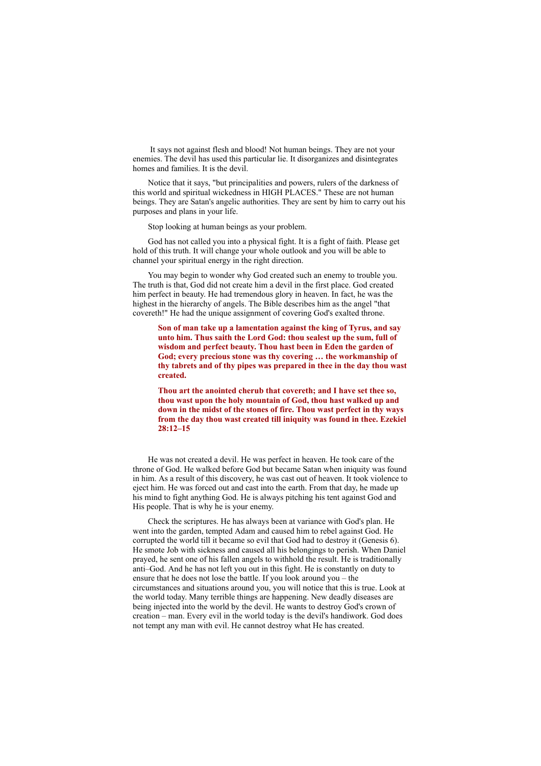It says not against flesh and blood! Not human beings. They are not your enemies. The devil has used this particular lie. It disorganizes and disintegrates homes and families. It is the devil.

Notice that it says, "but principalities and powers, rulers of the darkness of this world and spiritual wickedness in HIGH PLACES." These are not human beings. They are Satan's angelic authorities. They are sent by him to carry out his purposes and plans in your life.

Stop looking at human beings as your problem.

God has not called you into a physical fight. It is a fight of faith. Please get hold of this truth. It will change your whole outlook and you will be able to channel your spiritual energy in the right direction.

You may begin to wonder why God created such an enemy to trouble you. The truth is that, God did not create him a devil in the first place. God created him perfect in beauty. He had tremendous glory in heaven. In fact, he was the highest in the hierarchy of angels. The Bible describes him as the angel "that covereth!" He had the unique assignment of covering God's exalted throne.

**Son of man take up a lamentation against the king of Tyrus, and say unto him. Thus saith the Lord God: thou sealest up the sum, full of wisdom and perfect beauty. Thou hast been in Eden the garden of God; every precious stone was thy covering … the workmanship of thy tabrets and of thy pipes was prepared in thee in the day thou wast created.**

**Thou art the anointed cherub that covereth; and I have set thee so, thou wast upon the holy mountain of God, thou hast walked up and down in the midst of the stones of fire. Thou wast perfect in thy ways from the day thou wast created till iniquity was found in thee. Ezekiel 28:12–15**

He was not created a devil. He was perfect in heaven. He took care of the throne of God. He walked before God but became Satan when iniquity was found in him. As a result of this discovery, he was cast out of heaven. It took violence to eject him. He was forced out and cast into the earth. From that day, he made up his mind to fight anything God. He is always pitching his tent against God and His people. That is why he is your enemy.

Check the scriptures. He has always been at variance with God's plan. He went into the garden, tempted Adam and caused him to rebel against God. He corrupted the world till it became so evil that God had to destroy it (Genesis 6). He smote Job with sickness and caused all his belongings to perish. When Daniel prayed, he sent one of his fallen angels to withhold the result. He is traditionally anti–God. And he has not left you out in this fight. He is constantly on duty to ensure that he does not lose the battle. If you look around you – the circumstances and situations around you, you will notice that this is true. Look at the world today. Many terrible things are happening. New deadly diseases are being injected into the world by the devil. He wants to destroy God's crown of creation – man. Every evil in the world today is the devil's handiwork. God does not tempt any man with evil. He cannot destroy what He has created.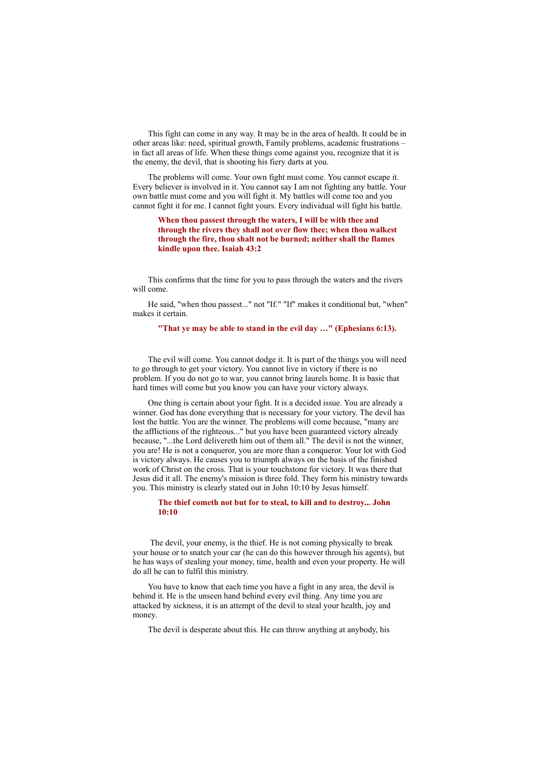This fight can come in any way. It may be in the area of health. It could be in other areas like: need, spiritual growth, Family problems, academic frustrations – in fact all areas of life. When these things come against you, recognize that it is the enemy, the devil, that is shooting his fiery darts at you.

The problems will come. Your own fight must come. You cannot escape it. Every believer is involved in it. You cannot say I am not fighting any battle. Your own battle must come and you will fight it. My battles will come too and you cannot fight it for me. I cannot fight yours. Every individual will fight his battle.

**When thou passest through the waters, I will be with thee and through the rivers they shall not over flow thee; when thou walkest through the fire, thou shalt not be burned; neither shall the flames kindle upon thee. Isaiah 43:2**

This confirms that the time for you to pass through the waters and the rivers will come.

He said, "when thou passest..." not "If." "If" makes it conditional but, "when" makes it certain.

#### **"That ye may be able to stand in the evil day …" (Ephesians 6:13).**

The evil will come. You cannot dodge it. It is part of the things you will need to go through to get your victory. You cannot live in victory if there is no problem. If you do not go to war, you cannot bring laurels home. It is basic that hard times will come but you know you can have your victory always.

One thing is certain about your fight. It is a decided issue. You are already a winner. God has done everything that is necessary for your victory. The devil has lost the battle. You are the winner. The problems will come because, "many are the afflictions of the righteous..." but you have been guaranteed victory already because, "...the Lord delivereth him out of them all." The devil is not the winner, you are! He is not a conqueror, you are more than a conqueror. Your lot with God is victory always. He causes you to triumph always on the basis of the finished work of Christ on the cross. That is your touchstone for victory. It was there that Jesus did it all. The enemy's mission is three fold. They form his ministry towards you. This ministry is clearly stated out in John 10:10 by Jesus himself.

# **The thief cometh not but for to steal, to kill and to destroy... John 10:10**

The devil, your enemy, is the thief. He is not coming physically to break your house or to snatch your car (he can do this however through his agents), but he has ways of stealing your money, time, health and even your property. He will do all he can to fulfil this ministry.

You have to know that each time you have a fight in any area, the devil is behind it. He is the unseen hand behind every evil thing. Any time you are attacked by sickness, it is an attempt of the devil to steal your health, joy and money.

The devil is desperate about this. He can throw anything at anybody, his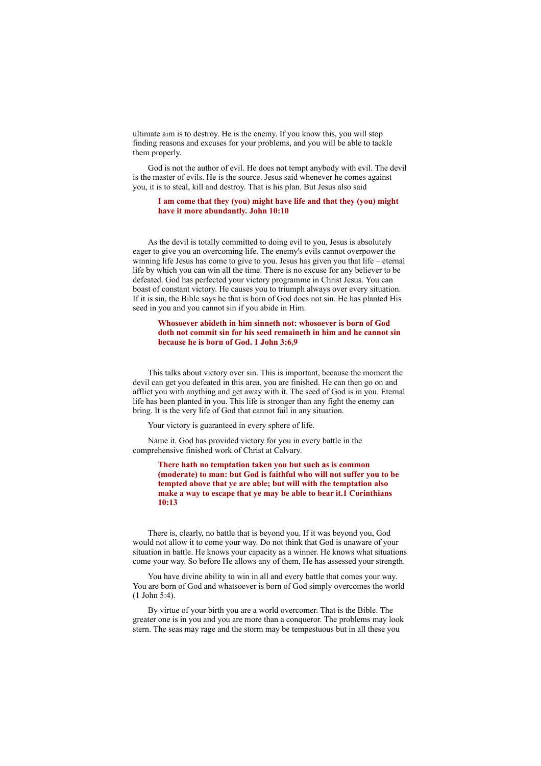ultimate aim is to destroy. He is the enemy. If you know this, you will stop finding reasons and excuses for your problems, and you will be able to tackle them properly.

God is not the author of evil. He does not tempt anybody with evil. The devil is the master of evils. He is the source. Jesus said whenever he comes against you, it is to steal, kill and destroy. That is his plan. But Jesus also said

#### **I am come that they (you) might have life and that they (you) might have it more abundantly. John 10:10**

As the devil is totally committed to doing evil to you, Jesus is absolutely eager to give you an overcoming life. The enemy's evils cannot overpower the winning life Jesus has come to give to you. Jesus has given you that life – eternal life by which you can win all the time. There is no excuse for any believer to be defeated. God has perfected your victory programme in Christ Jesus. You can boast of constant victory. He causes you to triumph always over every situation. If it is sin, the Bible says he that is born of God does not sin. He has planted His seed in you and you cannot sin if you abide in Him.

# **Whosoever abideth in him sinneth not: whosoever is born of God doth not commit sin for his seed remaineth in him and he cannot sin because he is born of God. 1 John 3:6,9**

This talks about victory over sin. This is important, because the moment the devil can get you defeated in this area, you are finished. He can then go on and afflict you with anything and get away with it. The seed of God is in you. Eternal life has been planted in you. This life is stronger than any fight the enemy can bring. It is the very life of God that cannot fail in any situation.

Your victory is guaranteed in every sphere of life.

Name it. God has provided victory for you in every battle in the comprehensive finished work of Christ at Calvary.

> **There hath no temptation taken you but such as is common (moderate) to man: but God is faithful who will not suffer you to be tempted above that ye are able; but will with the temptation also make a way to escape that ye may be able to bear it.1 Corinthians 10:13**

There is, clearly, no battle that is beyond you. If it was beyond you, God would not allow it to come your way. Do not think that God is unaware of your situation in battle. He knows your capacity as a winner. He knows what situations come your way. So before He allows any of them, He has assessed your strength.

You have divine ability to win in all and every battle that comes your way. You are born of God and whatsoever is born of God simply overcomes the world (1 John 5:4).

By virtue of your birth you are a world overcomer. That is the Bible. The greater one is in you and you are more than a conqueror. The problems may look stern. The seas may rage and the storm may be tempestuous but in all these you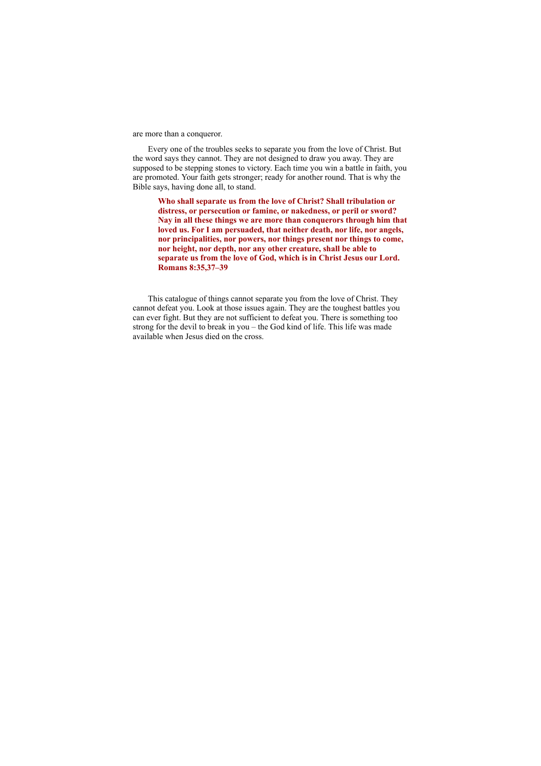are more than a conqueror.

Every one of the troubles seeks to separate you from the love of Christ. But the word says they cannot. They are not designed to draw you away. They are supposed to be stepping stones to victory. Each time you win a battle in faith, you are promoted. Your faith gets stronger; ready for another round. That is why the Bible says, having done all, to stand.

**Who shall separate us from the love of Christ? Shall tribulation or distress, or persecution or famine, or nakedness, or peril or sword? Nay in all these things we are more than conquerors through him that loved us. For I am persuaded, that neither death, nor life, nor angels, nor principalities, nor powers, nor things present nor things to come, nor height, nor depth, nor any other creature, shall be able to separate us from the love of God, which is in Christ Jesus our Lord. Romans 8:35,37–39**

This catalogue of things cannot separate you from the love of Christ. They cannot defeat you. Look at those issues again. They are the toughest battles you can ever fight. But they are not sufficient to defeat you. There is something too strong for the devil to break in you – the God kind of life. This life was made available when Jesus died on the cross.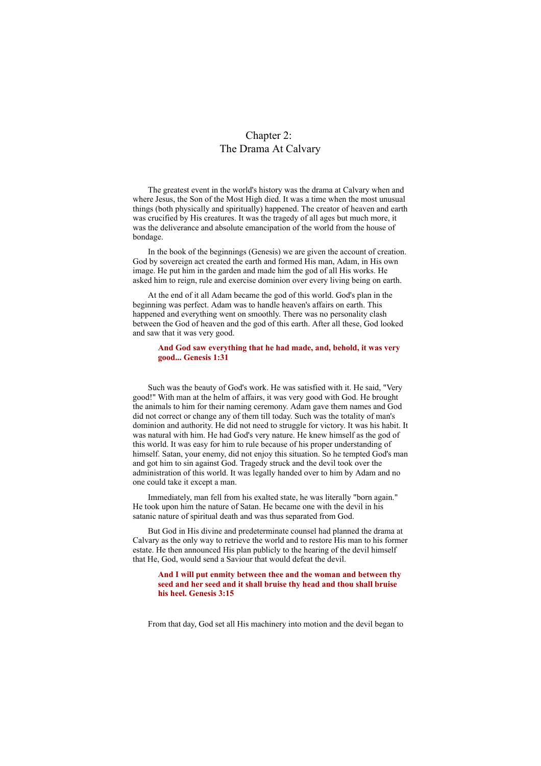# Chapter 2: The Drama At Calvary

The greatest event in the world's history was the drama at Calvary when and where Jesus, the Son of the Most High died. It was a time when the most unusual things (both physically and spiritually) happened. The creator of heaven and earth was crucified by His creatures. It was the tragedy of all ages but much more, it was the deliverance and absolute emancipation of the world from the house of bondage.

In the book of the beginnings (Genesis) we are given the account of creation. God by sovereign act created the earth and formed His man, Adam, in His own image. He put him in the garden and made him the god of all His works. He asked him to reign, rule and exercise dominion over every living being on earth.

At the end of it all Adam became the god of this world. God's plan in the beginning was perfect. Adam was to handle heaven's affairs on earth. This happened and everything went on smoothly. There was no personality clash between the God of heaven and the god of this earth. After all these, God looked and saw that it was very good.

#### **And God saw everything that he had made, and, behold, it was very good... Genesis 1:31**

Such was the beauty of God's work. He was satisfied with it. He said, "Very good!" With man at the helm of affairs, it was very good with God. He brought the animals to him for their naming ceremony. Adam gave them names and God did not correct or change any of them till today. Such was the totality of man's dominion and authority. He did not need to struggle for victory. It was his habit. It was natural with him. He had God's very nature. He knew himself as the god of this world. It was easy for him to rule because of his proper understanding of himself. Satan, your enemy, did not enjoy this situation. So he tempted God's man and got him to sin against God. Tragedy struck and the devil took over the administration of this world. It was legally handed over to him by Adam and no one could take it except a man.

Immediately, man fell from his exalted state, he was literally "born again." He took upon him the nature of Satan. He became one with the devil in his satanic nature of spiritual death and was thus separated from God.

But God in His divine and predeterminate counsel had planned the drama at Calvary as the only way to retrieve the world and to restore His man to his former estate. He then announced His plan publicly to the hearing of the devil himself that He, God, would send a Saviour that would defeat the devil.

# **And I will put enmity between thee and the woman and between thy seed and her seed and it shall bruise thy head and thou shall bruise his heel. Genesis 3:15**

From that day, God set all His machinery into motion and the devil began to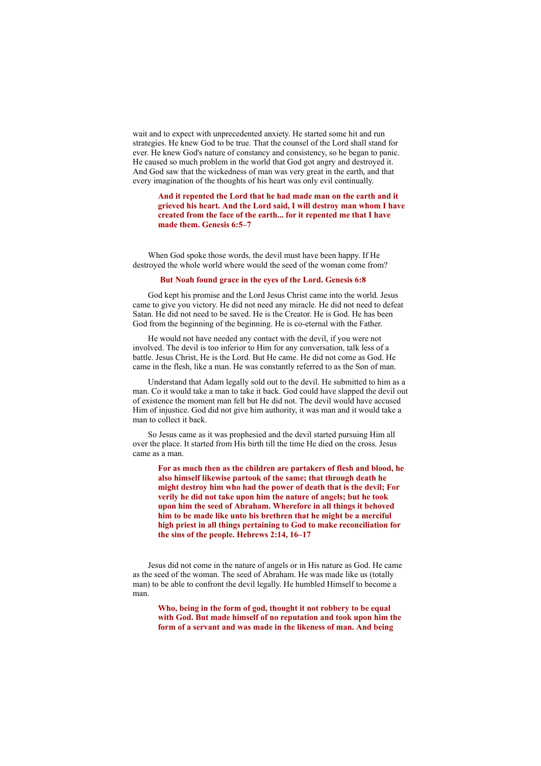wait and to expect with unprecedented anxiety. He started some hit and run strategies. He knew God to be true. That the counsel of the Lord shall stand for ever. He knew God's nature of constancy and consistency, so he began to panic. He caused so much problem in the world that God got angry and destroyed it. And God saw that the wickedness of man was very great in the earth, and that every imagination of the thoughts of his heart was only evil continually.

### **And it repented the Lord that he had made man on the earth and it grieved his heart. And the Lord said, I will destroy man whom I have created from the face of the earth... for it repented me that I have made them. Genesis 6:5–7**

When God spoke those words, the devil must have been happy. If He destroyed the whole world where would the seed of the woman come from?

#### **But Noah found grace in the eyes of the Lord. Genesis 6:8**

God kept his promise and the Lord Jesus Christ came into the world. Jesus came to give you victory. He did not need any miracle. He did not need to defeat Satan. He did not need to be saved. He is the Creator. He is God. He has been God from the beginning of the beginning. He is co-eternal with the Father.

He would not have needed any contact with the devil, if you were not involved. The devil is too inferior to Him for any conversation, talk less of a battle. Jesus Christ, He is the Lord. But He came. He did not come as God. He came in the flesh, like a man. He was constantly referred to as the Son of man.

Understand that Adam legally sold out to the devil. He submitted to him as a man. Co it would take a man to take it back. God could have slapped the devil out of existence the moment man fell but He did not. The devil would have accused Him of injustice. God did not give him authority, it was man and it would take a man to collect it back.

So Jesus came as it was prophesied and the devil started pursuing Him all over the place. It started from His birth till the time He died on the cross. Jesus came as a man.

**For as much then as the children are partakers of flesh and blood, he also himself likewise partook of the same; that through death he might destroy him who had the power of death that is the devil; For verily he did not take upon him the nature of angels; but he took upon him the seed of Abraham. Wherefore in all things it behoved him to be made like unto his brethren that he might be a merciful high priest in all things pertaining to God to make reconciliation for the sins of the people. Hebrews 2:14, 16–17**

Jesus did not come in the nature of angels or in His nature as God. He came as the seed of the woman. The seed of Abraham. He was made like us (totally man) to be able to confront the devil legally. He humbled Himself to become a man.

**Who, being in the form of god, thought it not robbery to be equal with God. But made himself of no reputation and took upon him the form of a servant and was made in the likeness of man. And being**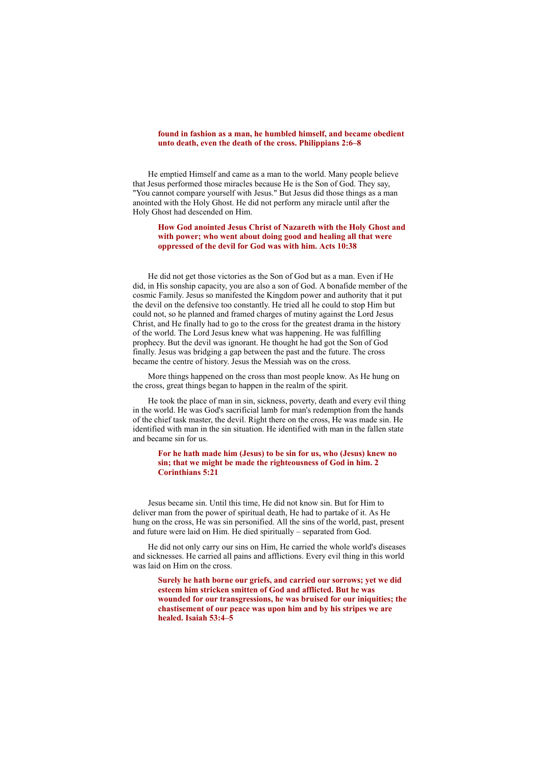# **found in fashion as a man, he humbled himself, and became obedient unto death, even the death of the cross. Philippians 2:6–8**

He emptied Himself and came as a man to the world. Many people believe that Jesus performed those miracles because He is the Son of God. They say, "You cannot compare yourself with Jesus." But Jesus did those things as a man anointed with the Holy Ghost. He did not perform any miracle until after the Holy Ghost had descended on Him.

# **How God anointed Jesus Christ of Nazareth with the Holy Ghost and with power; who went about doing good and healing all that were oppressed of the devil for God was with him. Acts 10:38**

He did not get those victories as the Son of God but as a man. Even if He did, in His sonship capacity, you are also a son of God. A bonafide member of the cosmic Family. Jesus so manifested the Kingdom power and authority that it put the devil on the defensive too constantly. He tried all he could to stop Him but could not, so he planned and framed charges of mutiny against the Lord Jesus Christ, and He finally had to go to the cross for the greatest drama in the history of the world. The Lord Jesus knew what was happening. He was fulfilling prophecy. But the devil was ignorant. He thought he had got the Son of God finally. Jesus was bridging a gap between the past and the future. The cross became the centre of history. Jesus the Messiah was on the cross.

More things happened on the cross than most people know. As He hung on the cross, great things began to happen in the realm of the spirit.

He took the place of man in sin, sickness, poverty, death and every evil thing in the world. He was God's sacrificial lamb for man's redemption from the hands of the chief task master, the devil. Right there on the cross, He was made sin. He identified with man in the sin situation. He identified with man in the fallen state and became sin for us.

#### **For he hath made him (Jesus) to be sin for us, who (Jesus) knew no sin; that we might be made the righteousness of God in him. 2 Corinthians 5:21**

Jesus became sin. Until this time, He did not know sin. But for Him to deliver man from the power of spiritual death, He had to partake of it. As He hung on the cross, He was sin personified. All the sins of the world, past, present and future were laid on Him. He died spiritually – separated from God.

He did not only carry our sins on Him, He carried the whole world's diseases and sicknesses. He carried all pains and afflictions. Every evil thing in this world was laid on Him on the cross.

**Surely he hath borne our griefs, and carried our sorrows; yet we did esteem him stricken smitten of God and afflicted. But he was wounded for our transgressions, he was bruised for our iniquities; the chastisement of our peace was upon him and by his stripes we are healed. Isaiah 53:4–5**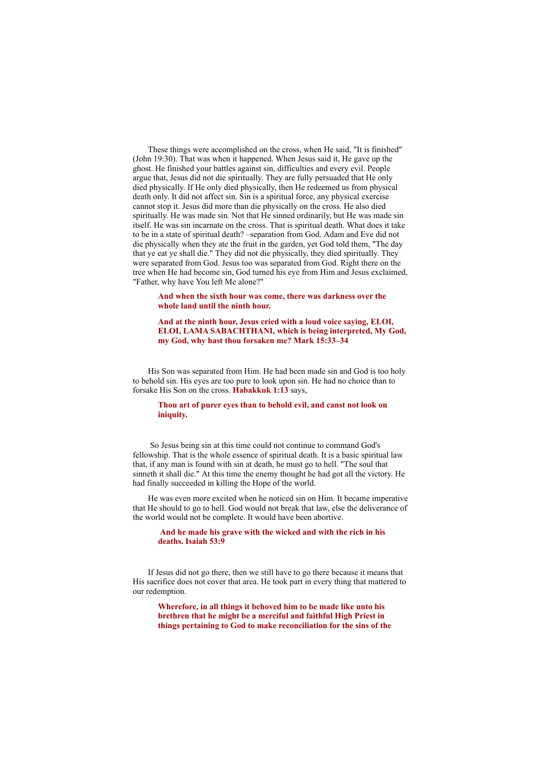These things were accomplished on the cross, when He said, "It is finished" (John 19:30). That was when it happened. When Jesus said it, He gave up the ghost. He finished your battles against sin, difficulties and every evil. People argue that, Jesus did not die spiritually. They are fully persuaded that He only died physically. If He only died physically, then He redeemed us from physical death only. It did not affect sin. Sin is a spiritual force, any physical exercise cannot stop it. Jesus did more than die physically on the cross. He also died spiritually. He was made sin. Not that He sinned ordinarily, but He was made sin itself. He was sin incarnate on the cross. That is spiritual death. What does it take to be in a state of spiritual death? –separation from God. Adam and Eve did not die physically when they ate the fruit in the garden, yet God told them, "The day that ye eat ye shall die." They did not die physically, they died spiritually. They were separated from God. Jesus too was separated from God. Right there on the tree when He had become sin, God turned his eye from Him and Jesus exclaimed, "Father, why have You left Me alone?"

**And when the sixth hour was come, there was darkness over the whole land until the ninth hour.**

**And at the ninth hour, Jesus cried with a loud voice saying, ELOI, ELOI, LAMA SABACHTHANI, which is being interpreted, My God, my God, why hast thou forsaken me? Mark 15:33–34**

His Son was separated from Him. He had been made sin and God is too holy to behold sin. His eyes are too pure to look upon sin. He had no choice than to forsake His Son on the cross. **Habakkuk 1:13** says,

### **Thou art of purer eyes than to behold evil, and canst not look on iniquity.**

So Jesus being sin at this time could not continue to command God's fellowship. That is the whole essence of spiritual death. It is a basic spiritual law that, if any man is found with sin at death, he must go to hell. "The soul that sinneth it shall die." At this time the enemy thought he had got all the victory. He had finally succeeded in killing the Hope of the world.

He was even more excited when he noticed sin on Him. It became imperative that He should to go to hell. God would not break that law, else the deliverance of the world would not be complete. It would have been abortive.

### **And he made his grave with the wicked and with the rich in his deaths. Isaiah 53:9**

If Jesus did not go there, then we still have to go there because it means that His sacrifice does not cover that area. He took part in every thing that mattered to our redemption.

**Wherefore, in all things it behoved him to be made like unto his brethren that he might be a merciful and faithful High Priest in things pertaining to God to make reconciliation for the sins of the**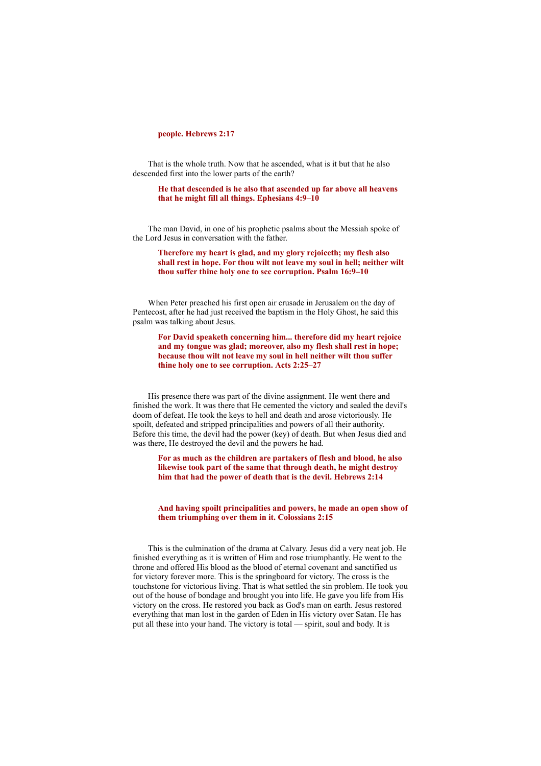#### **people. Hebrews 2:17**

That is the whole truth. Now that he ascended, what is it but that he also descended first into the lower parts of the earth?

**He that descended is he also that ascended up far above all heavens that he might fill all things. Ephesians 4:9–10**

The man David, in one of his prophetic psalms about the Messiah spoke of the Lord Jesus in conversation with the father.

**Therefore my heart is glad, and my glory rejoiceth; my flesh also shall rest in hope. For thou wilt not leave my soul in hell; neither wilt thou suffer thine holy one to see corruption. Psalm 16:9–10**

When Peter preached his first open air crusade in Jerusalem on the day of Pentecost, after he had just received the baptism in the Holy Ghost, he said this psalm was talking about Jesus.

**For David speaketh concerning him... therefore did my heart rejoice and my tongue was glad; moreover, also my flesh shall rest in hope; because thou wilt not leave my soul in hell neither wilt thou suffer thine holy one to see corruption. Acts 2:25–27**

His presence there was part of the divine assignment. He went there and finished the work. It was there that He cemented the victory and sealed the devil's doom of defeat. He took the keys to hell and death and arose victoriously. He spoilt, defeated and stripped principalities and powers of all their authority. Before this time, the devil had the power (key) of death. But when Jesus died and was there, He destroyed the devil and the powers he had.

**For as much as the children are partakers of flesh and blood, he also likewise took part of the same that through death, he might destroy him that had the power of death that is the devil. Hebrews 2:14**

**And having spoilt principalities and powers, he made an open show of them triumphing over them in it. Colossians 2:15**

This is the culmination of the drama at Calvary. Jesus did a very neat job. He finished everything as it is written of Him and rose triumphantly. He went to the throne and offered His blood as the blood of eternal covenant and sanctified us for victory forever more. This is the springboard for victory. The cross is the touchstone for victorious living. That is what settled the sin problem. He took you out of the house of bondage and brought you into life. He gave you life from His victory on the cross. He restored you back as God's man on earth. Jesus restored everything that man lost in the garden of Eden in His victory over Satan. He has put all these into your hand. The victory is total — spirit, soul and body. It is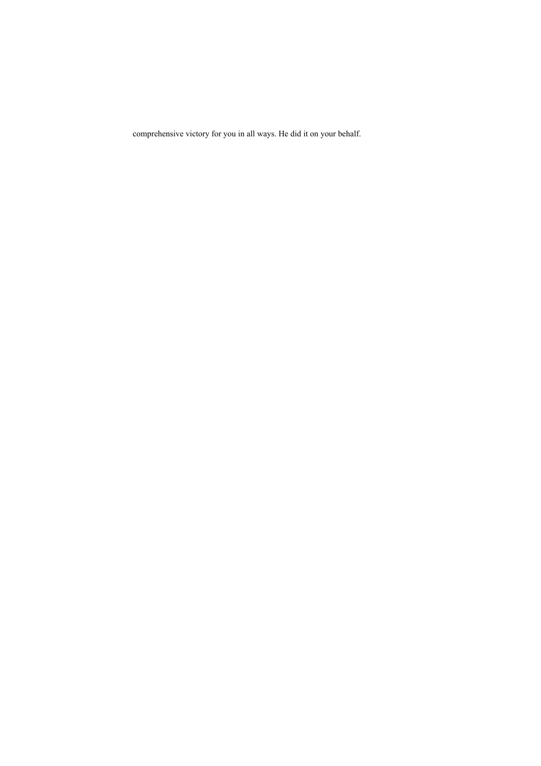comprehensive victory for you in all ways. He did it on your behalf.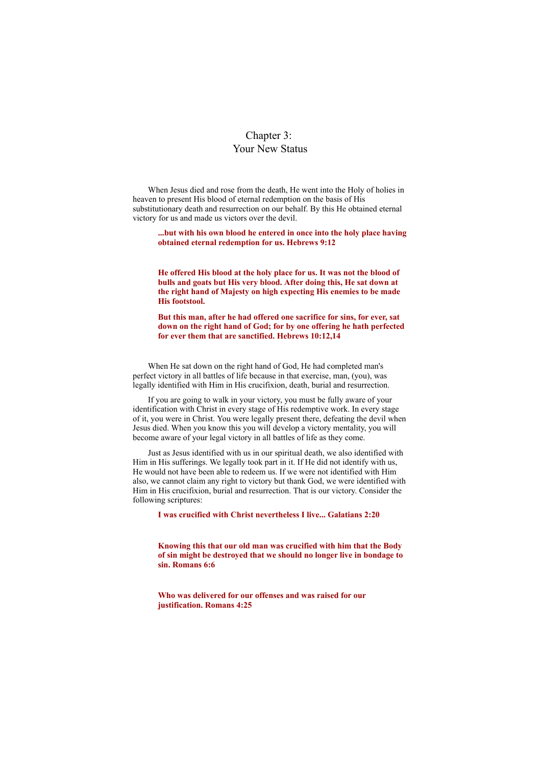# Chapter 3: Your New Status

When Jesus died and rose from the death, He went into the Holy of holies in heaven to present His blood of eternal redemption on the basis of His substitutionary death and resurrection on our behalf. By this He obtained eternal victory for us and made us victors over the devil.

**...but with his own blood he entered in once into the holy place having obtained eternal redemption for us. Hebrews 9:12**

**He offered His blood at the holy place for us. It was not the blood of bulls and goats but His very blood. After doing this, He sat down at the right hand of Majesty on high expecting His enemies to be made His footstool.**

**But this man, after he had offered one sacrifice for sins, for ever, sat down on the right hand of God; for by one offering he hath perfected for ever them that are sanctified. Hebrews 10:12,14**

When He sat down on the right hand of God, He had completed man's perfect victory in all battles of life because in that exercise, man, (you), was legally identified with Him in His crucifixion, death, burial and resurrection.

If you are going to walk in your victory, you must be fully aware of your identification with Christ in every stage of His redemptive work. In every stage of it, you were in Christ. You were legally present there, defeating the devil when Jesus died. When you know this you will develop a victory mentality, you will become aware of your legal victory in all battles of life as they come.

Just as Jesus identified with us in our spiritual death, we also identified with Him in His sufferings. We legally took part in it. If He did not identify with us, He would not have been able to redeem us. If we were not identified with Him also, we cannot claim any right to victory but thank God, we were identified with Him in His crucifixion, burial and resurrection. That is our victory. Consider the following scriptures:

**I was crucified with Christ nevertheless I live... Galatians 2:20**

**Knowing this that our old man was crucified with him that the Body of sin might be destroyed that we should no longer live in bondage to sin. Romans 6:6**

**Who was delivered for our offenses and was raised for our justification. Romans 4:25**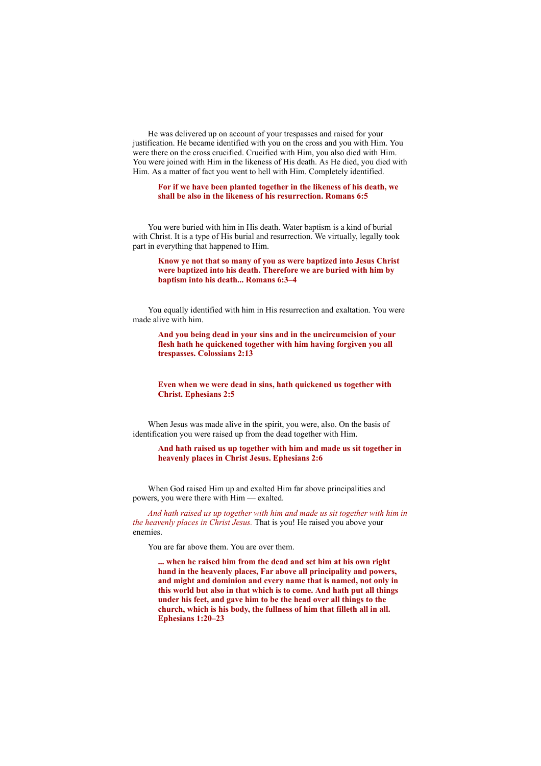He was delivered up on account of your trespasses and raised for your justification. He became identified with you on the cross and you with Him. You were there on the cross crucified. Crucified with Him, you also died with Him. You were joined with Him in the likeness of His death. As He died, you died with Him. As a matter of fact you went to hell with Him. Completely identified.

# **For if we have been planted together in the likeness of his death, we shall be also in the likeness of his resurrection. Romans 6:5**

You were buried with him in His death. Water baptism is a kind of burial with Christ. It is a type of His burial and resurrection. We virtually, legally took part in everything that happened to Him.

**Know ye not that so many of you as were baptized into Jesus Christ were baptized into his death. Therefore we are buried with him by baptism into his death... Romans 6:3–4**

You equally identified with him in His resurrection and exaltation. You were made alive with him.

**And you being dead in your sins and in the uncircumcision of your flesh hath he quickened together with him having forgiven you all trespasses. Colossians 2:13**

**Even when we were dead in sins, hath quickened us together with Christ. Ephesians 2:5**

When Jesus was made alive in the spirit, you were, also. On the basis of identification you were raised up from the dead together with Him.

**And hath raised us up together with him and made us sit together in heavenly places in Christ Jesus. Ephesians 2:6**

When God raised Him up and exalted Him far above principalities and powers, you were there with Him — exalted.

*And hath raised us up together with him and made us sit together with him in the heavenly places in Christ Jesus.* That is you! He raised you above your enemies.

You are far above them. You are over them.

**... when he raised him from the dead and set him at his own right hand in the heavenly places, Far above all principality and powers, and might and dominion and every name that is named, not only in this world but also in that which is to come. And hath put all things under his feet, and gave him to be the head over all things to the church, which is his body, the fullness of him that filleth all in all. Ephesians 1:20–23**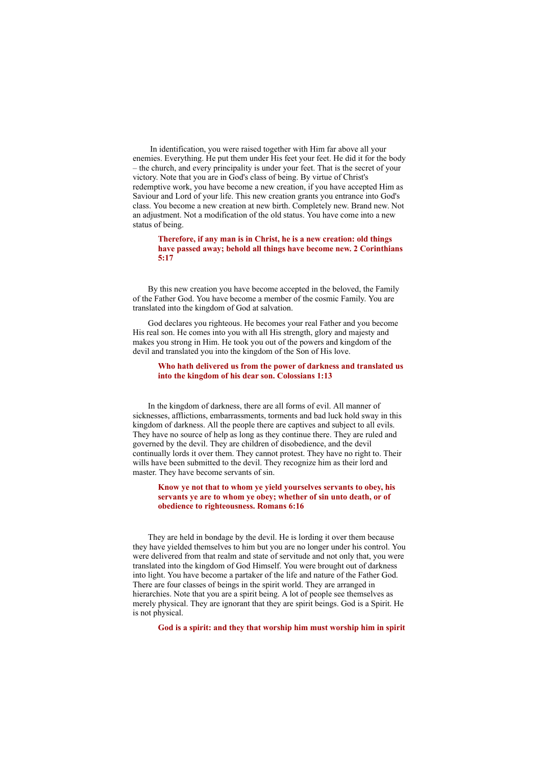In identification, you were raised together with Him far above all your enemies. Everything. He put them under His feet your feet. He did it for the body – the church, and every principality is under your feet. That is the secret of your victory. Note that you are in God's class of being. By virtue of Christ's redemptive work, you have become a new creation, if you have accepted Him as Saviour and Lord of your life. This new creation grants you entrance into God's class. You become a new creation at new birth. Completely new. Brand new. Not an adjustment. Not a modification of the old status. You have come into a new status of being.

**Therefore, if any man is in Christ, he is a new creation: old things have passed away; behold all things have become new. 2 Corinthians 5:17**

By this new creation you have become accepted in the beloved, the Family of the Father God. You have become a member of the cosmic Family. You are translated into the kingdom of God at salvation.

God declares you righteous. He becomes your real Father and you become His real son. He comes into you with all His strength, glory and majesty and makes you strong in Him. He took you out of the powers and kingdom of the devil and translated you into the kingdom of the Son of His love.

#### **Who hath delivered us from the power of darkness and translated us into the kingdom of his dear son. Colossians 1:13**

In the kingdom of darkness, there are all forms of evil. All manner of sicknesses, afflictions, embarrassments, torments and bad luck hold sway in this kingdom of darkness. All the people there are captives and subject to all evils. They have no source of help as long as they continue there. They are ruled and governed by the devil. They are children of disobedience, and the devil continually lords it over them. They cannot protest. They have no right to. Their wills have been submitted to the devil. They recognize him as their lord and master. They have become servants of sin.

**Know ye not that to whom ye yield yourselves servants to obey, his servants ye are to whom ye obey; whether of sin unto death, or of obedience to righteousness. Romans 6:16**

They are held in bondage by the devil. He is lording it over them because they have yielded themselves to him but you are no longer under his control. You were delivered from that realm and state of servitude and not only that, you were translated into the kingdom of God Himself. You were brought out of darkness into light. You have become a partaker of the life and nature of the Father God. There are four classes of beings in the spirit world. They are arranged in hierarchies. Note that you are a spirit being. A lot of people see themselves as merely physical. They are ignorant that they are spirit beings. God is a Spirit. He is not physical.

**God is a spirit: and they that worship him must worship him in spirit**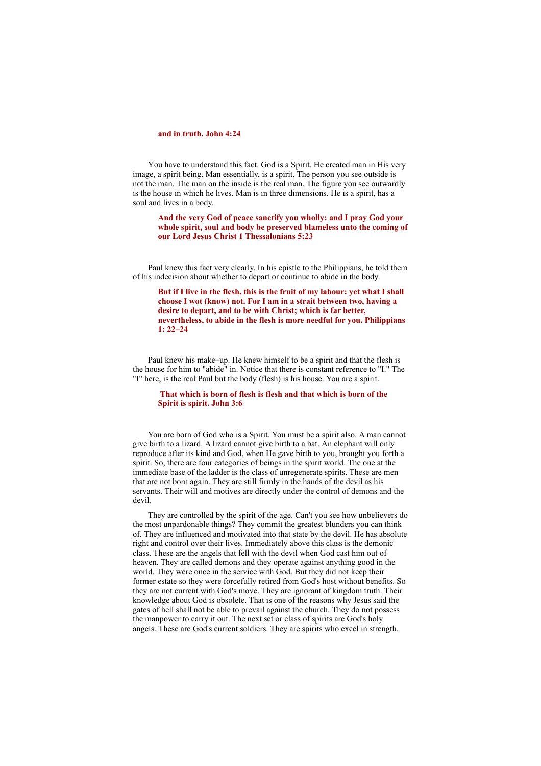# **and in truth. John 4:24**

You have to understand this fact. God is a Spirit. He created man in His very image, a spirit being. Man essentially, is a spirit. The person you see outside is not the man. The man on the inside is the real man. The figure you see outwardly is the house in which he lives. Man is in three dimensions. He is a spirit, has a soul and lives in a body.

**And the very God of peace sanctify you wholly: and I pray God your whole spirit, soul and body be preserved blameless unto the coming of our Lord Jesus Christ 1 Thessalonians 5:23**

Paul knew this fact very clearly. In his epistle to the Philippians, he told them of his indecision about whether to depart or continue to abide in the body.

**But if I live in the flesh, this is the fruit of my labour: yet what I shall choose I wot (know) not. For I am in a strait between two, having a desire to depart, and to be with Christ; which is far better, nevertheless, to abide in the flesh is more needful for you. Philippians 1: 22–24**

Paul knew his make–up. He knew himself to be a spirit and that the flesh is the house for him to "abide" in. Notice that there is constant reference to "I." The "I" here, is the real Paul but the body (flesh) is his house. You are a spirit.

#### **That which is born of flesh is flesh and that which is born of the Spirit is spirit. John 3:6**

You are born of God who is a Spirit. You must be a spirit also. A man cannot give birth to a lizard. A lizard cannot give birth to a bat. An elephant will only reproduce after its kind and God, when He gave birth to you, brought you forth a spirit. So, there are four categories of beings in the spirit world. The one at the immediate base of the ladder is the class of unregenerate spirits. These are men that are not born again. They are still firmly in the hands of the devil as his servants. Their will and motives are directly under the control of demons and the devil.

They are controlled by the spirit of the age. Can't you see how unbelievers do the most unpardonable things? They commit the greatest blunders you can think of. They are influenced and motivated into that state by the devil. He has absolute right and control over their lives. Immediately above this class is the demonic class. These are the angels that fell with the devil when God cast him out of heaven. They are called demons and they operate against anything good in the world. They were once in the service with God. But they did not keep their former estate so they were forcefully retired from God's host without benefits. So they are not current with God's move. They are ignorant of kingdom truth. Their knowledge about God is obsolete. That is one of the reasons why Jesus said the gates of hell shall not be able to prevail against the church. They do not possess the manpower to carry it out. The next set or class of spirits are God's holy angels. These are God's current soldiers. They are spirits who excel in strength.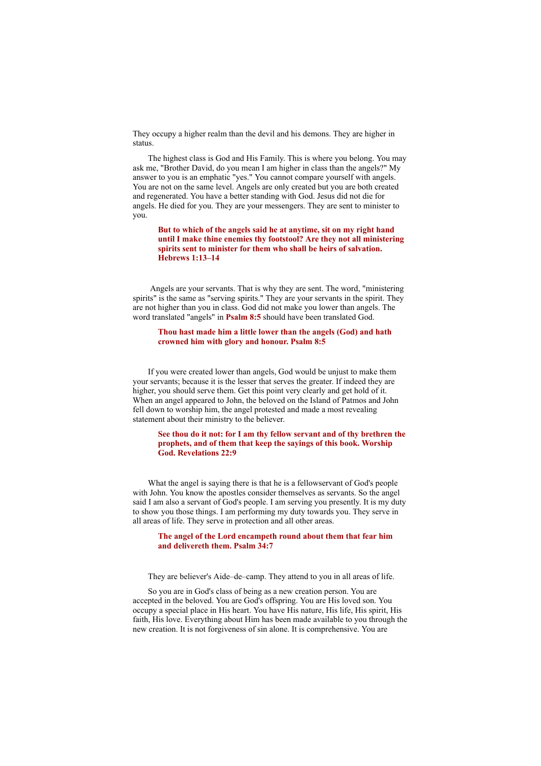They occupy a higher realm than the devil and his demons. They are higher in status.

The highest class is God and His Family. This is where you belong. You may ask me, "Brother David, do you mean I am higher in class than the angels?" My answer to you is an emphatic "yes." You cannot compare yourself with angels. You are not on the same level. Angels are only created but you are both created and regenerated. You have a better standing with God. Jesus did not die for angels. He died for you. They are your messengers. They are sent to minister to you.

**But to which of the angels said he at anytime, sit on my right hand until I make thine enemies thy footstool? Are they not all ministering spirits sent to minister for them who shall be heirs of salvation. Hebrews 1:13–14**

Angels are your servants. That is why they are sent. The word, "ministering spirits" is the same as "serving spirits." They are your servants in the spirit. They are not higher than you in class. God did not make you lower than angels. The word translated "angels" in **Psalm 8:5** should have been translated God.

# **Thou hast made him a little lower than the angels (God) and hath crowned him with glory and honour. Psalm 8:5**

If you were created lower than angels, God would be unjust to make them your servants; because it is the lesser that serves the greater. If indeed they are higher, you should serve them. Get this point very clearly and get hold of it. When an angel appeared to John, the beloved on the Island of Patmos and John fell down to worship him, the angel protested and made a most revealing statement about their ministry to the believer.

# **See thou do it not: for I am thy fellow servant and of thy brethren the prophets, and of them that keep the sayings of this book. Worship God. Revelations 22:9**

What the angel is saying there is that he is a fellowservant of God's people with John. You know the apostles consider themselves as servants. So the angel said I am also a servant of God's people. I am serving you presently. It is my duty to show you those things. I am performing my duty towards you. They serve in all areas of life. They serve in protection and all other areas.

#### **The angel of the Lord encampeth round about them that fear him and delivereth them. Psalm 34:7**

They are believer's Aide–de–camp. They attend to you in all areas of life.

So you are in God's class of being as a new creation person. You are accepted in the beloved. You are God's offspring. You are His loved son. You occupy a special place in His heart. You have His nature, His life, His spirit, His faith, His love. Everything about Him has been made available to you through the new creation. It is not forgiveness of sin alone. It is comprehensive. You are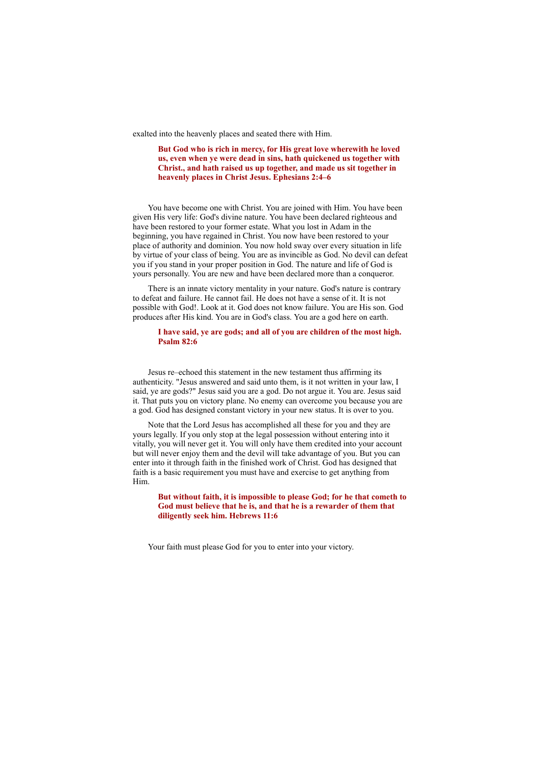exalted into the heavenly places and seated there with Him.

**But God who is rich in mercy, for His great love wherewith he loved us, even when ye were dead in sins, hath quickened us together with Christ., and hath raised us up together, and made us sit together in heavenly places in Christ Jesus. Ephesians 2:4–6**

You have become one with Christ. You are joined with Him. You have been given His very life: God's divine nature. You have been declared righteous and have been restored to your former estate. What you lost in Adam in the beginning, you have regained in Christ. You now have been restored to your place of authority and dominion. You now hold sway over every situation in life by virtue of your class of being. You are as invincible as God. No devil can defeat you if you stand in your proper position in God. The nature and life of God is yours personally. You are new and have been declared more than a conqueror.

There is an innate victory mentality in your nature. God's nature is contrary to defeat and failure. He cannot fail. He does not have a sense of it. It is not possible with God!. Look at it. God does not know failure. You are His son. God produces after His kind. You are in God's class. You are a god here on earth.

#### **I have said, ye are gods; and all of you are children of the most high. Psalm 82:6**

Jesus re–echoed this statement in the new testament thus affirming its authenticity. "Jesus answered and said unto them, is it not written in your law, I said, ye are gods?" Jesus said you are a god. Do not argue it. You are. Jesus said it. That puts you on victory plane. No enemy can overcome you because you are a god. God has designed constant victory in your new status. It is over to you.

Note that the Lord Jesus has accomplished all these for you and they are yours legally. If you only stop at the legal possession without entering into it vitally, you will never get it. You will only have them credited into your account but will never enjoy them and the devil will take advantage of you. But you can enter into it through faith in the finished work of Christ. God has designed that faith is a basic requirement you must have and exercise to get anything from Him.

**But without faith, it is impossible to please God; for he that cometh to God must believe that he is, and that he is a rewarder of them that diligently seek him. Hebrews 11:6**

Your faith must please God for you to enter into your victory.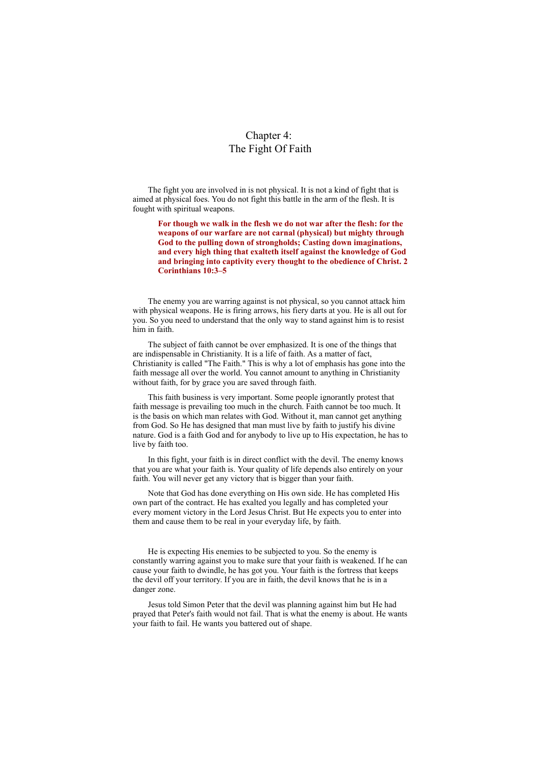# Chapter 4: The Fight Of Faith

The fight you are involved in is not physical. It is not a kind of fight that is aimed at physical foes. You do not fight this battle in the arm of the flesh. It is fought with spiritual weapons.

**For though we walk in the flesh we do not war after the flesh: for the weapons of our warfare are not carnal (physical) but mighty through God to the pulling down of strongholds; Casting down imaginations, and every high thing that exalteth itself against the knowledge of God and bringing into captivity every thought to the obedience of Christ. 2 Corinthians 10:3–5**

The enemy you are warring against is not physical, so you cannot attack him with physical weapons. He is firing arrows, his fiery darts at you. He is all out for you. So you need to understand that the only way to stand against him is to resist him in faith.

The subject of faith cannot be over emphasized. It is one of the things that are indispensable in Christianity. It is a life of faith. As a matter of fact, Christianity is called "The Faith." This is why a lot of emphasis has gone into the faith message all over the world. You cannot amount to anything in Christianity without faith, for by grace you are saved through faith.

This faith business is very important. Some people ignorantly protest that faith message is prevailing too much in the church. Faith cannot be too much. It is the basis on which man relates with God. Without it, man cannot get anything from God. So He has designed that man must live by faith to justify his divine nature. God is a faith God and for anybody to live up to His expectation, he has to live by faith too.

In this fight, your faith is in direct conflict with the devil. The enemy knows that you are what your faith is. Your quality of life depends also entirely on your faith. You will never get any victory that is bigger than your faith.

Note that God has done everything on His own side. He has completed His own part of the contract. He has exalted you legally and has completed your every moment victory in the Lord Jesus Christ. But He expects you to enter into them and cause them to be real in your everyday life, by faith.

He is expecting His enemies to be subjected to you. So the enemy is constantly warring against you to make sure that your faith is weakened. If he can cause your faith to dwindle, he has got you. Your faith is the fortress that keeps the devil off your territory. If you are in faith, the devil knows that he is in a danger zone.

Jesus told Simon Peter that the devil was planning against him but He had prayed that Peter's faith would not fail. That is what the enemy is about. He wants your faith to fail. He wants you battered out of shape.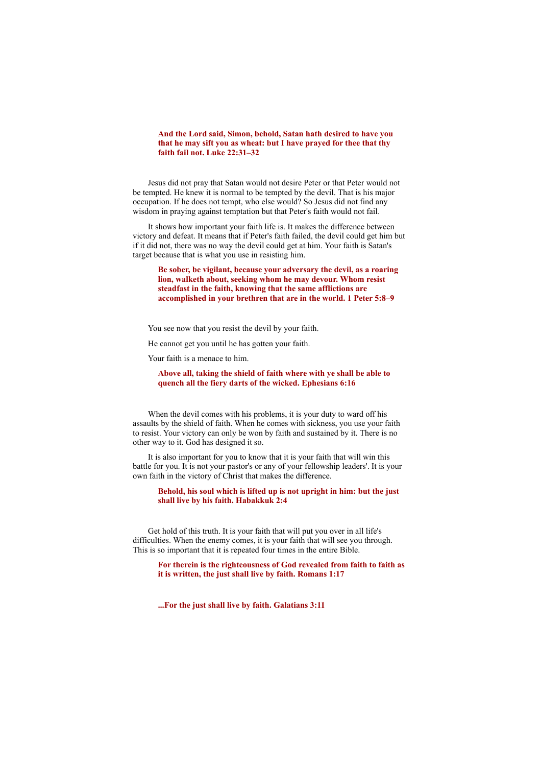# **And the Lord said, Simon, behold, Satan hath desired to have you that he may sift you as wheat: but I have prayed for thee that thy faith fail not. Luke 22:31–32**

Jesus did not pray that Satan would not desire Peter or that Peter would not be tempted. He knew it is normal to be tempted by the devil. That is his major occupation. If he does not tempt, who else would? So Jesus did not find any wisdom in praying against temptation but that Peter's faith would not fail.

It shows how important your faith life is. It makes the difference between victory and defeat. It means that if Peter's faith failed, the devil could get him but if it did not, there was no way the devil could get at him. Your faith is Satan's target because that is what you use in resisting him.

**Be sober, be vigilant, because your adversary the devil, as a roaring lion, walketh about, seeking whom he may devour. Whom resist steadfast in the faith, knowing that the same afflictions are accomplished in your brethren that are in the world. 1 Peter 5:8–9**

You see now that you resist the devil by your faith.

He cannot get you until he has gotten your faith.

Your faith is a menace to him.

# **Above all, taking the shield of faith where with ye shall be able to quench all the fiery darts of the wicked. Ephesians 6:16**

When the devil comes with his problems, it is your duty to ward off his assaults by the shield of faith. When he comes with sickness, you use your faith to resist. Your victory can only be won by faith and sustained by it. There is no other way to it. God has designed it so.

It is also important for you to know that it is your faith that will win this battle for you. It is not your pastor's or any of your fellowship leaders'. It is your own faith in the victory of Christ that makes the difference.

**Behold, his soul which is lifted up is not upright in him: but the just shall live by his faith. Habakkuk 2:4**

Get hold of this truth. It is your faith that will put you over in all life's difficulties. When the enemy comes, it is your faith that will see you through. This is so important that it is repeated four times in the entire Bible.

**For therein is the righteousness of God revealed from faith to faith as it is written, the just shall live by faith. Romans 1:17**

**...For the just shall live by faith. Galatians 3:11**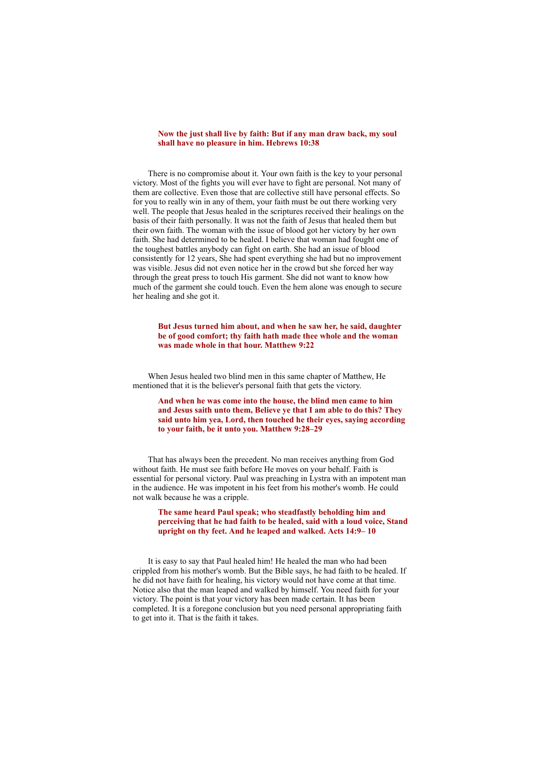# **Now the just shall live by faith: But if any man draw back, my soul shall have no pleasure in him. Hebrews 10:38**

There is no compromise about it. Your own faith is the key to your personal victory. Most of the fights you will ever have to fight are personal. Not many of them are collective. Even those that are collective still have personal effects. So for you to really win in any of them, your faith must be out there working very well. The people that Jesus healed in the scriptures received their healings on the basis of their faith personally. It was not the faith of Jesus that healed them but their own faith. The woman with the issue of blood got her victory by her own faith. She had determined to be healed. I believe that woman had fought one of the toughest battles anybody can fight on earth. She had an issue of blood consistently for 12 years, She had spent everything she had but no improvement was visible. Jesus did not even notice her in the crowd but she forced her way through the great press to touch His garment. She did not want to know how much of the garment she could touch. Even the hem alone was enough to secure her healing and she got it.

#### **But Jesus turned him about, and when he saw her, he said, daughter be of good comfort; thy faith hath made thee whole and the woman was made whole in that hour. Matthew 9:22**

When Jesus healed two blind men in this same chapter of Matthew, He mentioned that it is the believer's personal faith that gets the victory.

**And when he was come into the house, the blind men came to him and Jesus saith unto them, Believe ye that I am able to do this? They said unto him yea, Lord, then touched he their eyes, saying according to your faith, be it unto you. Matthew 9:28–29**

That has always been the precedent. No man receives anything from God without faith. He must see faith before He moves on your behalf. Faith is essential for personal victory. Paul was preaching in Lystra with an impotent man in the audience. He was impotent in his feet from his mother's womb. He could not walk because he was a cripple.

# **The same heard Paul speak; who steadfastly beholding him and perceiving that he had faith to be healed, said with a loud voice, Stand upright on thy feet. And he leaped and walked. Acts 14:9– 10**

It is easy to say that Paul healed him! He healed the man who had been crippled from his mother's womb. But the Bible says, he had faith to be healed. If he did not have faith for healing, his victory would not have come at that time. Notice also that the man leaped and walked by himself. You need faith for your victory. The point is that your victory has been made certain. It has been completed. It is a foregone conclusion but you need personal appropriating faith to get into it. That is the faith it takes.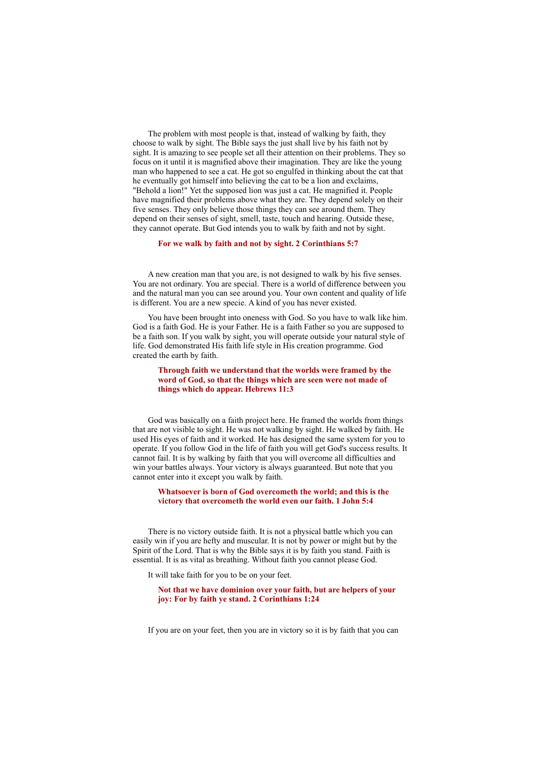The problem with most people is that, instead of walking by faith, they choose to walk by sight. The Bible says the just shall live by his faith not by sight. It is amazing to see people set all their attention on their problems. They so focus on it until it is magnified above their imagination. They are like the young man who happened to see a cat. He got so engulfed in thinking about the cat that he eventually got himself into believing the cat to be a lion and exclaims, "Behold a lion!" Yet the supposed lion was just a cat. He magnified it. People have magnified their problems above what they are. They depend solely on their five senses. They only believe those things they can see around them. They depend on their senses of sight, smell, taste, touch and hearing. Outside these, they cannot operate. But God intends you to walk by faith and not by sight.

#### **For we walk by faith and not by sight. 2 Corinthians 5:7**

A new creation man that you are, is not designed to walk by his five senses. You are not ordinary. You are special. There is a world of difference between you and the natural man you can see around you. Your own content and quality of life is different. You are a new specie. A kind of you has never existed.

You have been brought into oneness with God. So you have to walk like him. God is a faith God. He is your Father. He is a faith Father so you are supposed to be a faith son. If you walk by sight, you will operate outside your natural style of life. God demonstrated His faith life style in His creation programme. God created the earth by faith.

**Through faith we understand that the worlds were framed by the word of God, so that the things which are seen were not made of things which do appear. Hebrews 11:3**

God was basically on a faith project here. He framed the worlds from things that are not visible to sight. He was not walking by sight. He walked by faith. He used His eyes of faith and it worked. He has designed the same system for you to operate. If you follow God in the life of faith you will get God's success results. It cannot fail. It is by walking by faith that you will overcome all difficulties and win your battles always. Your victory is always guaranteed. But note that you cannot enter into it except you walk by faith.

### **Whatsoever is born of God overcometh the world; and this is the victory that overcometh the world even our faith. 1 John 5:4**

There is no victory outside faith. It is not a physical battle which you can easily win if you are hefty and muscular. It is not by power or might but by the Spirit of the Lord. That is why the Bible says it is by faith you stand. Faith is essential. It is as vital as breathing. Without faith you cannot please God.

It will take faith for you to be on your feet.

**Not that we have dominion over your faith, but are helpers of your joy: For by faith ye stand. 2 Corinthians 1:24**

If you are on your feet, then you are in victory so it is by faith that you can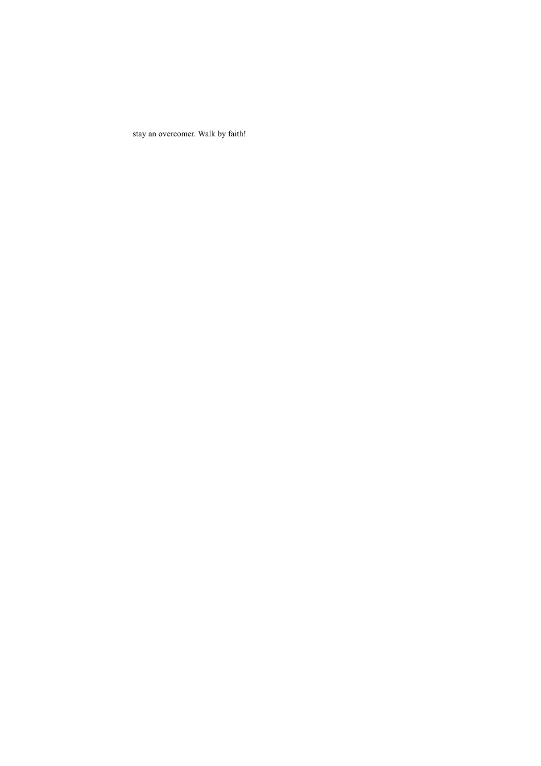stay an overcomer. Walk by faith!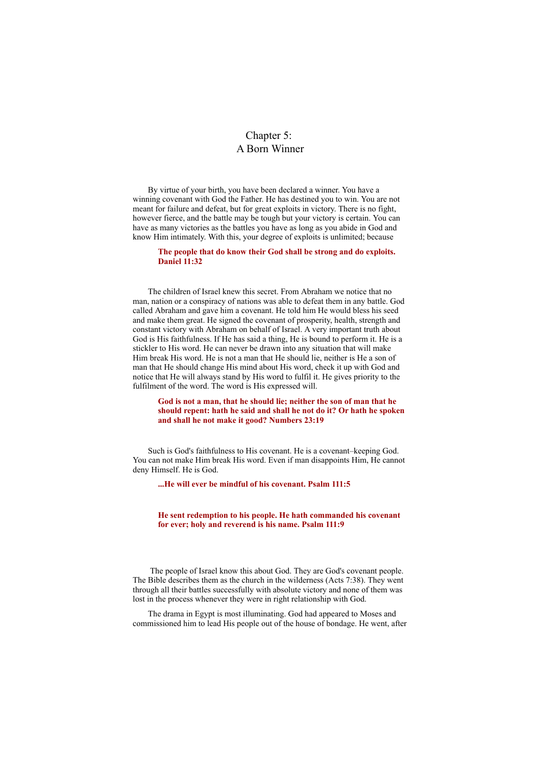# Chapter 5: A Born Winner

By virtue of your birth, you have been declared a winner. You have a winning covenant with God the Father. He has destined you to win. You are not meant for failure and defeat, but for great exploits in victory. There is no fight, however fierce, and the battle may be tough but your victory is certain. You can have as many victories as the battles you have as long as you abide in God and know Him intimately. With this, your degree of exploits is unlimited; because

#### **The people that do know their God shall be strong and do exploits. Daniel 11:32**

The children of Israel knew this secret. From Abraham we notice that no man, nation or a conspiracy of nations was able to defeat them in any battle. God called Abraham and gave him a covenant. He told him He would bless his seed and make them great. He signed the covenant of prosperity, health, strength and constant victory with Abraham on behalf of Israel. A very important truth about God is His faithfulness. If He has said a thing, He is bound to perform it. He is a stickler to His word. He can never be drawn into any situation that will make Him break His word. He is not a man that He should lie, neither is He a son of man that He should change His mind about His word, check it up with God and notice that He will always stand by His word to fulfil it. He gives priority to the fulfilment of the word. The word is His expressed will.

#### **God is not a man, that he should lie; neither the son of man that he should repent: hath he said and shall he not do it? Or hath he spoken and shall he not make it good? Numbers 23:19**

Such is God's faithfulness to His covenant. He is a covenant–keeping God. You can not make Him break His word. Even if man disappoints Him, He cannot deny Himself. He is God.

**...He will ever be mindful of his covenant. Psalm 111:5**

**He sent redemption to his people. He hath commanded his covenant for ever; holy and reverend is his name. Psalm 111:9**

The people of Israel know this about God. They are God's covenant people. The Bible describes them as the church in the wilderness (Acts 7:38). They went through all their battles successfully with absolute victory and none of them was lost in the process whenever they were in right relationship with God.

The drama in Egypt is most illuminating. God had appeared to Moses and commissioned him to lead His people out of the house of bondage. He went, after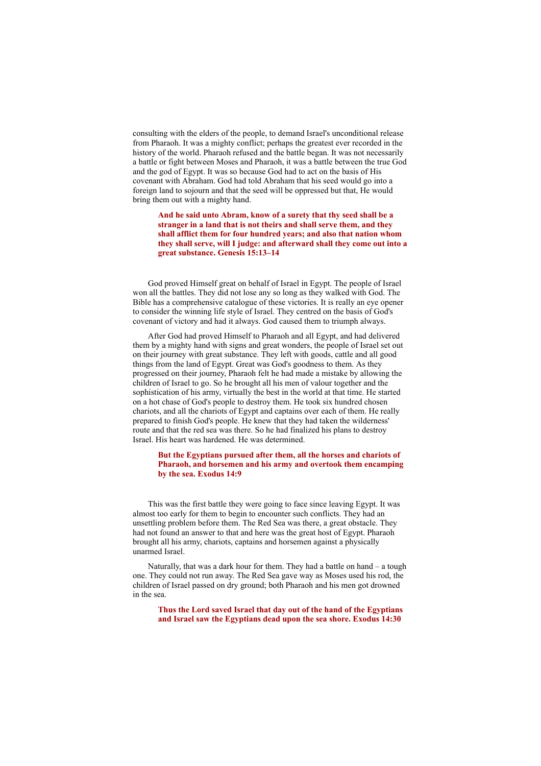consulting with the elders of the people, to demand Israel's unconditional release from Pharaoh. It was a mighty conflict; perhaps the greatest ever recorded in the history of the world. Pharaoh refused and the battle began. It was not necessarily a battle or fight between Moses and Pharaoh, it was a battle between the true God and the god of Egypt. It was so because God had to act on the basis of His covenant with Abraham. God had told Abraham that his seed would go into a foreign land to sojourn and that the seed will be oppressed but that, He would bring them out with a mighty hand.

**And he said unto Abram, know of a surety that thy seed shall be a stranger in a land that is not theirs and shall serve them, and they shall afflict them for four hundred years; and also that nation whom they shall serve, will I judge: and afterward shall they come out into a great substance. Genesis 15:13–14**

God proved Himself great on behalf of Israel in Egypt. The people of Israel won all the battles. They did not lose any so long as they walked with God. The Bible has a comprehensive catalogue of these victories. It is really an eye opener to consider the winning life style of Israel. They centred on the basis of God's covenant of victory and had it always. God caused them to triumph always.

After God had proved Himself to Pharaoh and all Egypt, and had delivered them by a mighty hand with signs and great wonders, the people of Israel set out on their journey with great substance. They left with goods, cattle and all good things from the land of Egypt. Great was God's goodness to them. As they progressed on their journey, Pharaoh felt he had made a mistake by allowing the children of Israel to go. So he brought all his men of valour together and the sophistication of his army, virtually the best in the world at that time. He started on a hot chase of God's people to destroy them. He took six hundred chosen chariots, and all the chariots of Egypt and captains over each of them. He really prepared to finish God's people. He knew that they had taken the wilderness' route and that the red sea was there. So he had finalized his plans to destroy Israel. His heart was hardened. He was determined.

# **But the Egyptians pursued after them, all the horses and chariots of Pharaoh, and horsemen and his army and overtook them encamping by the sea. Exodus 14:9**

This was the first battle they were going to face since leaving Egypt. It was almost too early for them to begin to encounter such conflicts. They had an unsettling problem before them. The Red Sea was there, a great obstacle. They had not found an answer to that and here was the great host of Egypt. Pharaoh brought all his army, chariots, captains and horsemen against a physically unarmed Israel.

Naturally, that was a dark hour for them. They had a battle on hand – a tough one. They could not run away. The Red Sea gave way as Moses used his rod, the children of Israel passed on dry ground; both Pharaoh and his men got drowned in the sea.

**Thus the Lord saved Israel that day out of the hand of the Egyptians and Israel saw the Egyptians dead upon the sea shore. Exodus 14:30**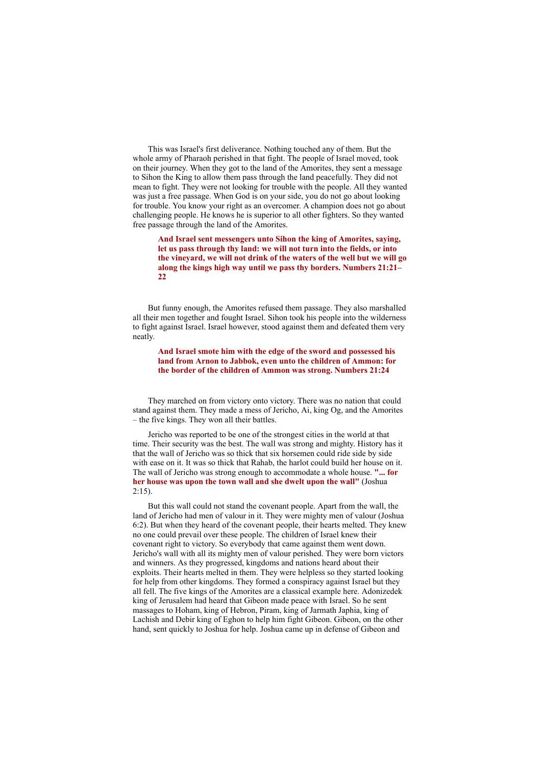This was Israel's first deliverance. Nothing touched any of them. But the whole army of Pharaoh perished in that fight. The people of Israel moved, took on their journey. When they got to the land of the Amorites, they sent a message to Sihon the King to allow them pass through the land peacefully. They did not mean to fight. They were not looking for trouble with the people. All they wanted was just a free passage. When God is on your side, you do not go about looking for trouble. You know your right as an overcomer. A champion does not go about challenging people. He knows he is superior to all other fighters. So they wanted free passage through the land of the Amorites.

**And Israel sent messengers unto Sihon the king of Amorites, saying, let us pass through thy land: we will not turn into the fields, or into the vineyard, we will not drink of the waters of the well but we will go along the kings high way until we pass thy borders. Numbers 21:21– 22**

But funny enough, the Amorites refused them passage. They also marshalled all their men together and fought Israel. Sihon took his people into the wilderness to fight against Israel. Israel however, stood against them and defeated them very neatly.

**And Israel smote him with the edge of the sword and possessed his land from Arnon to Jabbok, even unto the children of Ammon: for the border of the children of Ammon was strong. Numbers 21:24**

They marched on from victory onto victory. There was no nation that could stand against them. They made a mess of Jericho, Ai, king Og, and the Amorites – the five kings. They won all their battles.

Jericho was reported to be one of the strongest cities in the world at that time. Their security was the best. The wall was strong and mighty. History has it that the wall of Jericho was so thick that six horsemen could ride side by side with ease on it. It was so thick that Rahab, the harlot could build her house on it. The wall of Jericho was strong enough to accommodate a whole house. **"... for her house was upon the town wall and she dwelt upon the wall"** (Joshua  $2.15$ 

But this wall could not stand the covenant people. Apart from the wall, the land of Jericho had men of valour in it. They were mighty men of valour (Joshua 6:2). But when they heard of the covenant people, their hearts melted. They knew no one could prevail over these people. The children of Israel knew their covenant right to victory. So everybody that came against them went down. Jericho's wall with all its mighty men of valour perished. They were born victors and winners. As they progressed, kingdoms and nations heard about their exploits. Their hearts melted in them. They were helpless so they started looking for help from other kingdoms. They formed a conspiracy against Israel but they all fell. The five kings of the Amorites are a classical example here. Adonizedek king of Jerusalem had heard that Gibeon made peace with Israel. So he sent massages to Hoham, king of Hebron, Piram, king of Jarmath Japhia, king of Lachish and Debir king of Eghon to help him fight Gibeon. Gibeon, on the other hand, sent quickly to Joshua for help. Joshua came up in defense of Gibeon and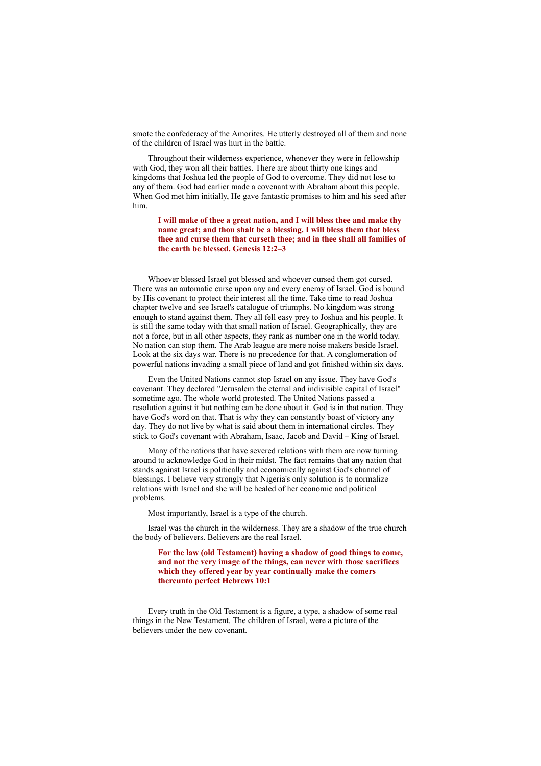smote the confederacy of the Amorites. He utterly destroyed all of them and none of the children of Israel was hurt in the battle.

Throughout their wilderness experience, whenever they were in fellowship with God, they won all their battles. There are about thirty one kings and kingdoms that Joshua led the people of God to overcome. They did not lose to any of them. God had earlier made a covenant with Abraham about this people. When God met him initially, He gave fantastic promises to him and his seed after him.

**I will make of thee a great nation, and I will bless thee and make thy name great; and thou shalt be a blessing. I will bless them that bless thee and curse them that curseth thee; and in thee shall all families of the earth be blessed. Genesis 12:2–3**

Whoever blessed Israel got blessed and whoever cursed them got cursed. There was an automatic curse upon any and every enemy of Israel. God is bound by His covenant to protect their interest all the time. Take time to read Joshua chapter twelve and see Israel's catalogue of triumphs. No kingdom was strong enough to stand against them. They all fell easy prey to Joshua and his people. It is still the same today with that small nation of Israel. Geographically, they are not a force, but in all other aspects, they rank as number one in the world today. No nation can stop them. The Arab league are mere noise makers beside Israel. Look at the six days war. There is no precedence for that. A conglomeration of powerful nations invading a small piece of land and got finished within six days.

Even the United Nations cannot stop Israel on any issue. They have God's covenant. They declared "Jerusalem the eternal and indivisible capital of Israel" sometime ago. The whole world protested. The United Nations passed a resolution against it but nothing can be done about it. God is in that nation. They have God's word on that. That is why they can constantly boast of victory any day. They do not live by what is said about them in international circles. They stick to God's covenant with Abraham, Isaac, Jacob and David – King of Israel.

Many of the nations that have severed relations with them are now turning around to acknowledge God in their midst. The fact remains that any nation that stands against Israel is politically and economically against God's channel of blessings. I believe very strongly that Nigeria's only solution is to normalize relations with Israel and she will be healed of her economic and political problems.

Most importantly, Israel is a type of the church.

Israel was the church in the wilderness. They are a shadow of the true church the body of believers. Believers are the real Israel.

**For the law (old Testament) having a shadow of good things to come, and not the very image of the things, can never with those sacrifices which they offered year by year continually make the comers thereunto perfect Hebrews 10:1**

Every truth in the Old Testament is a figure, a type, a shadow of some real things in the New Testament. The children of Israel, were a picture of the believers under the new covenant.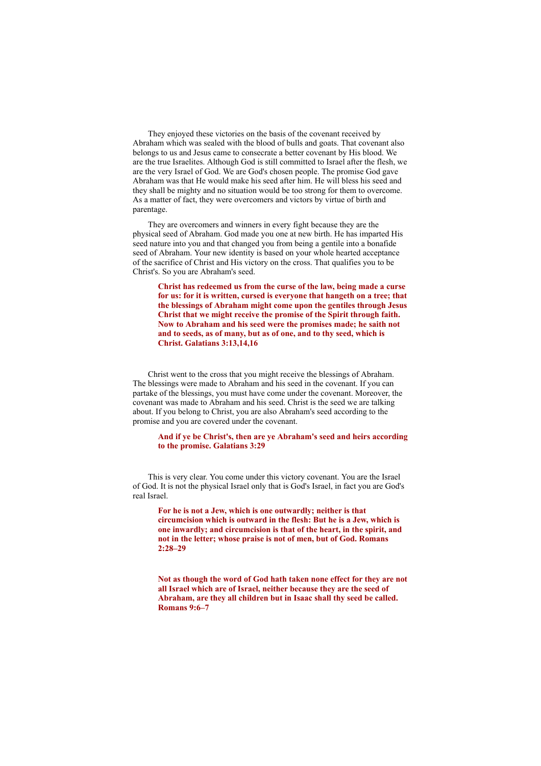They enjoyed these victories on the basis of the covenant received by Abraham which was sealed with the blood of bulls and goats. That covenant also belongs to us and Jesus came to consecrate a better covenant by His blood. We are the true Israelites. Although God is still committed to Israel after the flesh, we are the very Israel of God. We are God's chosen people. The promise God gave Abraham was that He would make his seed after him. He will bless his seed and they shall be mighty and no situation would be too strong for them to overcome. As a matter of fact, they were overcomers and victors by virtue of birth and parentage.

They are overcomers and winners in every fight because they are the physical seed of Abraham. God made you one at new birth. He has imparted His seed nature into you and that changed you from being a gentile into a bonafide seed of Abraham. Your new identity is based on your whole hearted acceptance of the sacrifice of Christ and His victory on the cross. That qualifies you to be Christ's. So you are Abraham's seed.

**Christ has redeemed us from the curse of the law, being made a curse for us: for it is written, cursed is everyone that hangeth on a tree; that the blessings of Abraham might come upon the gentiles through Jesus Christ that we might receive the promise of the Spirit through faith. Now to Abraham and his seed were the promises made; he saith not and to seeds, as of many, but as of one, and to thy seed, which is Christ. Galatians 3:13,14,16**

Christ went to the cross that you might receive the blessings of Abraham. The blessings were made to Abraham and his seed in the covenant. If you can partake of the blessings, you must have come under the covenant. Moreover, the covenant was made to Abraham and his seed. Christ is the seed we are talking about. If you belong to Christ, you are also Abraham's seed according to the promise and you are covered under the covenant.

#### **And if ye be Christ's, then are ye Abraham's seed and heirs according to the promise. Galatians 3:29**

This is very clear. You come under this victory covenant. You are the Israel of God. It is not the physical Israel only that is God's Israel, in fact you are God's real Israel.

**For he is not a Jew, which is one outwardly; neither is that circumcision which is outward in the flesh: But he is a Jew, which is one inwardly; and circumcision is that of the heart, in the spirit, and not in the letter; whose praise is not of men, but of God. Romans 2:28–29**

**Not as though the word of God hath taken none effect for they are not all Israel which are of Israel, neither because they are the seed of Abraham, are they all children but in Isaac shall thy seed be called. Romans 9:6–7**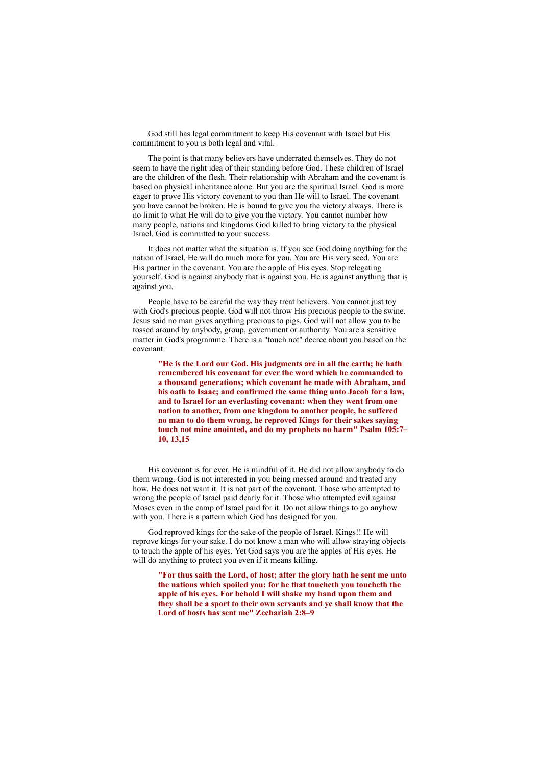God still has legal commitment to keep His covenant with Israel but His commitment to you is both legal and vital.

The point is that many believers have underrated themselves. They do not seem to have the right idea of their standing before God. These children of Israel are the children of the flesh. Their relationship with Abraham and the covenant is based on physical inheritance alone. But you are the spiritual Israel. God is more eager to prove His victory covenant to you than He will to Israel. The covenant you have cannot be broken. He is bound to give you the victory always. There is no limit to what He will do to give you the victory. You cannot number how many people, nations and kingdoms God killed to bring victory to the physical Israel. God is committed to your success.

It does not matter what the situation is. If you see God doing anything for the nation of Israel, He will do much more for you. You are His very seed. You are His partner in the covenant. You are the apple of His eyes. Stop relegating yourself. God is against anybody that is against you. He is against anything that is against you.

People have to be careful the way they treat believers. You cannot just toy with God's precious people. God will not throw His precious people to the swine. Jesus said no man gives anything precious to pigs. God will not allow you to be tossed around by anybody, group, government or authority. You are a sensitive matter in God's programme. There is a "touch not" decree about you based on the covenant.

**"He is the Lord our God. His judgments are in all the earth; he hath remembered his covenant for ever the word which he commanded to a thousand generations; which covenant he made with Abraham, and his oath to Isaac; and confirmed the same thing unto Jacob for a law, and to Israel for an everlasting covenant: when they went from one nation to another, from one kingdom to another people, he suffered no man to do them wrong, he reproved Kings for their sakes saying touch not mine anointed, and do my prophets no harm" Psalm 105:7– 10, 13,15**

His covenant is for ever. He is mindful of it. He did not allow anybody to do them wrong. God is not interested in you being messed around and treated any how. He does not want it. It is not part of the covenant. Those who attempted to wrong the people of Israel paid dearly for it. Those who attempted evil against Moses even in the camp of Israel paid for it. Do not allow things to go anyhow with you. There is a pattern which God has designed for you.

God reproved kings for the sake of the people of Israel. Kings!! He will reprove kings for your sake. I do not know a man who will allow straying objects to touch the apple of his eyes. Yet God says you are the apples of His eyes. He will do anything to protect you even if it means killing.

**"For thus saith the Lord, of host; after the glory hath he sent me unto the nations which spoiled you: for he that toucheth you toucheth the apple of his eyes. For behold I will shake my hand upon them and they shall be a sport to their own servants and ye shall know that the Lord of hosts has sent me" Zechariah 2:8–9**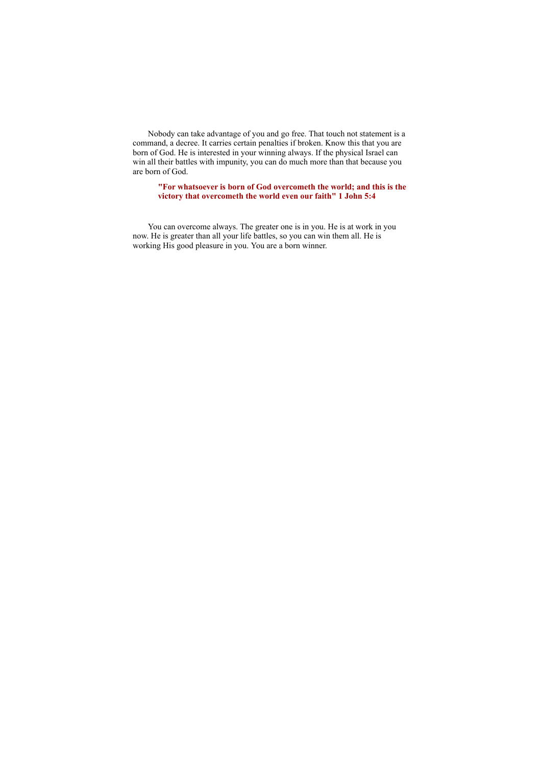Nobody can take advantage of you and go free. That touch not statement is a command, a decree. It carries certain penalties if broken. Know this that you are born of God. He is interested in your winning always. If the physical Israel can win all their battles with impunity, you can do much more than that because you are born of God.

**"For whatsoever is born of God overcometh the world; and this is the victory that overcometh the world even our faith" 1 John 5:4**

You can overcome always. The greater one is in you. He is at work in you now. He is greater than all your life battles, so you can win them all. He is working His good pleasure in you. You are a born winner.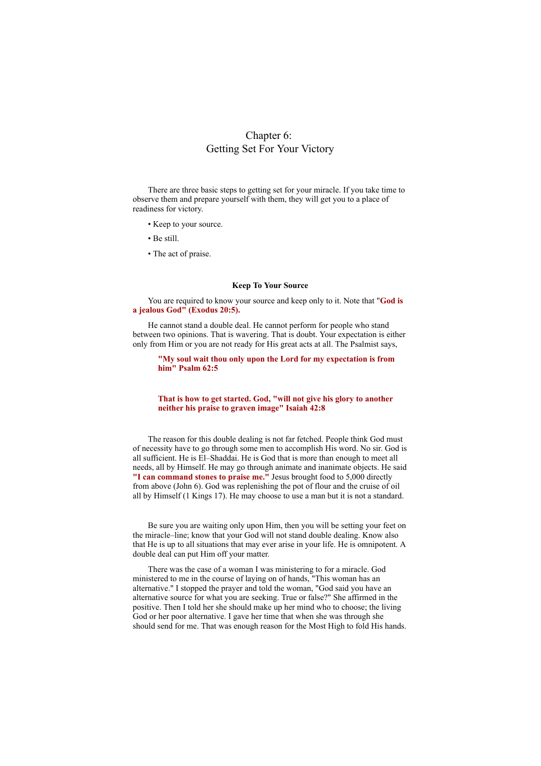# Chapter 6: Getting Set For Your Victory

There are three basic steps to getting set for your miracle. If you take time to observe them and prepare yourself with them, they will get you to a place of readiness for victory.

- Keep to your source.
- Be still.
- The act of praise.

#### **Keep To Your Source**

You are required to know your source and keep only to it. Note that "**God is a jealous God" (Exodus 20:5).**

He cannot stand a double deal. He cannot perform for people who stand between two opinions. That is wavering. That is doubt. Your expectation is either only from Him or you are not ready for His great acts at all. The Psalmist says,

**"My soul wait thou only upon the Lord for my expectation is from him" Psalm 62:5**

### **That is how to get started. God, "will not give his glory to another neither his praise to graven image" Isaiah 42:8**

The reason for this double dealing is not far fetched. People think God must of necessity have to go through some men to accomplish His word. No sir. God is all sufficient. He is El–Shaddai. He is God that is more than enough to meet all needs, all by Himself. He may go through animate and inanimate objects. He said **"I can command stones to praise me."** Jesus brought food to 5,000 directly from above (John 6). God was replenishing the pot of flour and the cruise of oil all by Himself (1 Kings 17). He may choose to use a man but it is not a standard.

Be sure you are waiting only upon Him, then you will be setting your feet on the miracle–line; know that your God will not stand double dealing. Know also that He is up to all situations that may ever arise in your life. He is omnipotent. A double deal can put Him off your matter.

There was the case of a woman I was ministering to for a miracle. God ministered to me in the course of laying on of hands, "This woman has an alternative." I stopped the prayer and told the woman, "God said you have an alternative source for what you are seeking. True or false?" She affirmed in the positive. Then I told her she should make up her mind who to choose; the living God or her poor alternative. I gave her time that when she was through she should send for me. That was enough reason for the Most High to fold His hands.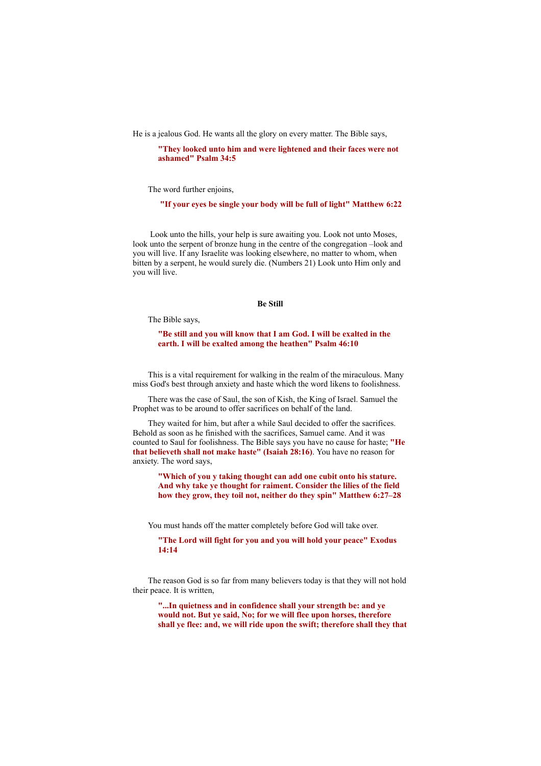He is a jealous God. He wants all the glory on every matter. The Bible says,

**"They looked unto him and were lightened and their faces were not ashamed" Psalm 34:5**

The word further enjoins,

**"If your eyes be single your body will be full of light" Matthew 6:22**

Look unto the hills, your help is sure awaiting you. Look not unto Moses, look unto the serpent of bronze hung in the centre of the congregation –look and you will live. If any Israelite was looking elsewhere, no matter to whom, when bitten by a serpent, he would surely die. (Numbers 21) Look unto Him only and you will live.

#### **Be Still**

The Bible says,

**"Be still and you will know that I am God. I will be exalted in the earth. I will be exalted among the heathen" Psalm 46:10**

This is a vital requirement for walking in the realm of the miraculous. Many miss God's best through anxiety and haste which the word likens to foolishness.

There was the case of Saul, the son of Kish, the King of Israel. Samuel the Prophet was to be around to offer sacrifices on behalf of the land.

They waited for him, but after a while Saul decided to offer the sacrifices. Behold as soon as he finished with the sacrifices, Samuel came. And it was counted to Saul for foolishness. The Bible says you have no cause for haste; **"He that believeth shall not make haste" (Isaiah 28:16)**. You have no reason for anxiety. The word says,

**"Which of you y taking thought can add one cubit onto his stature. And why take ye thought for raiment. Consider the lilies of the field how they grow, they toil not, neither do they spin" Matthew 6:27–28**

You must hands off the matter completely before God will take over.

**"The Lord will fight for you and you will hold your peace" Exodus 14:14**

The reason God is so far from many believers today is that they will not hold their peace. It is written,

**"...In quietness and in confidence shall your strength be: and ye would not. But ye said, No; for we will flee upon horses, therefore shall ye flee: and, we will ride upon the swift; therefore shall they that**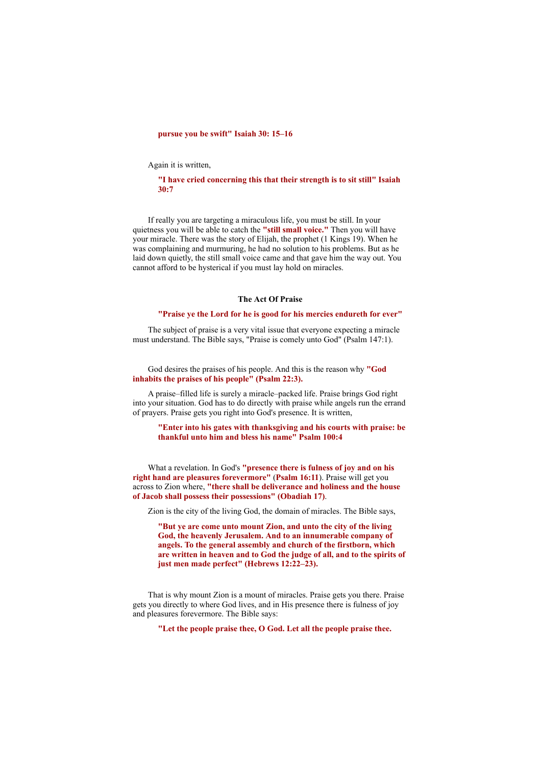# **pursue you be swift" Isaiah 30: 15–16**

Again it is written,

#### **"I have cried concerning this that their strength is to sit still" Isaiah 30:7**

If really you are targeting a miraculous life, you must be still. In your quietness you will be able to catch the **"still small voice."** Then you will have your miracle. There was the story of Elijah, the prophet (1 Kings 19). When he was complaining and murmuring, he had no solution to his problems. But as he laid down quietly, the still small voice came and that gave him the way out. You cannot afford to be hysterical if you must lay hold on miracles.

#### **The Act Of Praise**

#### **"Praise ye the Lord for he is good for his mercies endureth for ever"**

The subject of praise is a very vital issue that everyone expecting a miracle must understand. The Bible says, "Praise is comely unto God" (Psalm 147:1).

God desires the praises of his people. And this is the reason why **"God inhabits the praises of his people" (Psalm 22:3).**

A praise–filled life is surely a miracle–packed life. Praise brings God right into your situation. God has to do directly with praise while angels run the errand of prayers. Praise gets you right into God's presence. It is written,

#### **"Enter into his gates with thanksgiving and his courts with praise: be thankful unto him and bless his name" Psalm 100:4**

What a revelation. In God's **"presence there is fulness of joy and on his right hand are pleasures forevermore"** (**Psalm 16:11**). Praise will get you across to Zion where, **"there shall be deliverance and holiness and the house of Jacob shall possess their possessions" (Obadiah 17)**.

Zion is the city of the living God, the domain of miracles. The Bible says,

**"But ye are come unto mount Zion, and unto the city of the living God, the heavenly Jerusalem. And to an innumerable company of angels. To the general assembly and church of the firstborn, which are written in heaven and to God the judge of all, and to the spirits of just men made perfect" (Hebrews 12:22–23).**

That is why mount Zion is a mount of miracles. Praise gets you there. Praise gets you directly to where God lives, and in His presence there is fulness of joy and pleasures forevermore. The Bible says:

**"Let the people praise thee, O God. Let all the people praise thee.**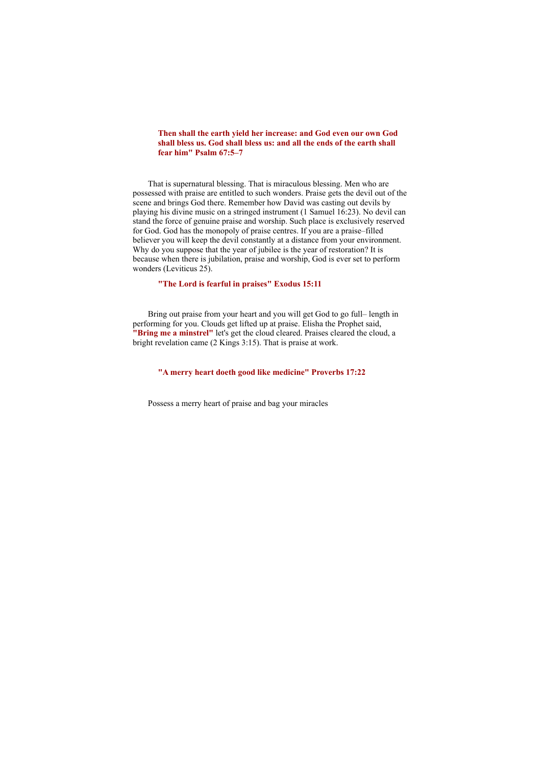**Then shall the earth yield her increase: and God even our own God shall bless us. God shall bless us: and all the ends of the earth shall fear him" Psalm 67:5–7**

That is supernatural blessing. That is miraculous blessing. Men who are possessed with praise are entitled to such wonders. Praise gets the devil out of the scene and brings God there. Remember how David was casting out devils by playing his divine music on a stringed instrument (1 Samuel 16:23). No devil can stand the force of genuine praise and worship. Such place is exclusively reserved for God. God has the monopoly of praise centres. If you are a praise–filled believer you will keep the devil constantly at a distance from your environment. Why do you suppose that the year of jubilee is the year of restoration? It is because when there is jubilation, praise and worship, God is ever set to perform wonders (Leviticus 25).

# **"The Lord is fearful in praises" Exodus 15:11**

Bring out praise from your heart and you will get God to go full– length in performing for you. Clouds get lifted up at praise. Elisha the Prophet said, **"Bring me a minstrel"** let's get the cloud cleared. Praises cleared the cloud, a bright revelation came (2 Kings 3:15). That is praise at work.

# **"A merry heart doeth good like medicine" Proverbs 17:22**

Possess a merry heart of praise and bag your miracles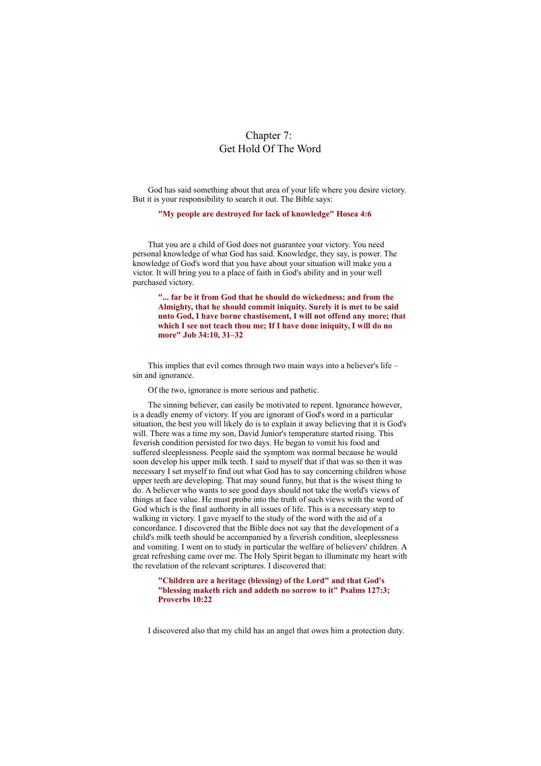# Chapter 7: Get Hold Of The Word

God has said something about that area of your life where you desire victory. But it is your responsibility to search it out. The Bible says:

**"My people are destroyed for lack of knowledge" Hosea 4:6**

That you are a child of God does not guarantee your victory. You need personal knowledge of what God has said. Knowledge, they say, is power. The knowledge of God's word that you have about your situation will make you a victor. It will bring you to a place of faith in God's ability and in your well purchased victory.

**"... far be it from God that he should do wickedness; and from the Almighty, that he should commit iniquity. Surely it is met to be said unto God, I have borne chastisement, I will not offend any more; that which I see not teach thou me; If I have done iniquity, I will do no more" Job 34:10, 31–32**

This implies that evil comes through two main ways into a believer's life – sin and ignorance.

Of the two, ignorance is more serious and pathetic.

The sinning believer, can easily be motivated to repent. Ignorance however, is a deadly enemy of victory. If you are ignorant of God's word in a particular situation, the best you will likely do is to explain it away believing that it is God's will. There was a time my son, David Junior's temperature started rising. This feverish condition persisted for two days. He began to vomit his food and suffered sleeplessness. People said the symptom was normal because he would soon develop his upper milk teeth. I said to myself that if that was so then it was necessary I set myself to find out what God has to say concerning children whose upper teeth are developing. That may sound funny, but that is the wisest thing to do. A believer who wants to see good days should not take the world's views of things at face value. He must probe into the truth of such views with the word of God which is the final authority in all issues of life. This is a necessary step to walking in victory. I gave myself to the study of the word with the aid of a concordance. I discovered that the Bible does not say that the development of a child's milk teeth should be accompanied by a feverish condition, sleeplessness and vomiting. I went on to study in particular the welfare of believers' children. A great refreshing came over me. The Holy Spirit began to illuminate my heart with the revelation of the relevant scriptures. I discovered that:

**"Children are a heritage (blessing) of the Lord" and that God's "blessing maketh rich and addeth no sorrow to it" Psalms 127:3; Proverbs 10:22**

I discovered also that my child has an angel that owes him a protection duty.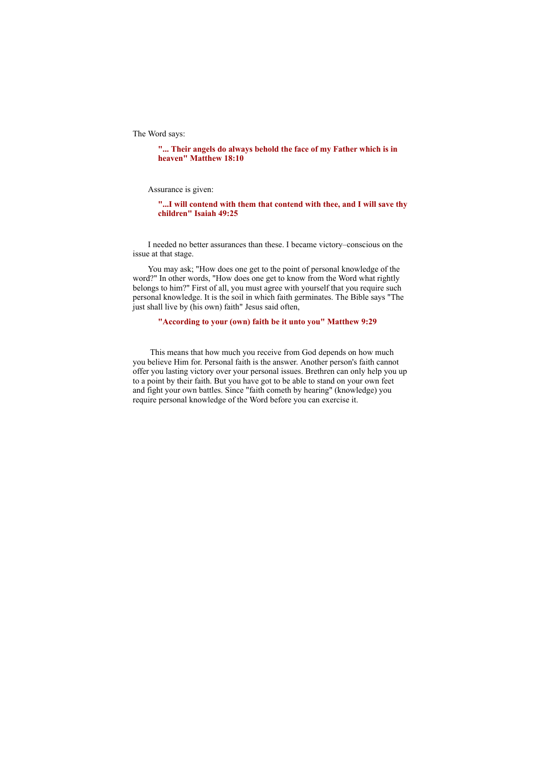The Word says:

# **"... Their angels do always behold the face of my Father which is in heaven" Matthew 18:10**

Assurance is given:

**"...I will contend with them that contend with thee, and I will save thy children" Isaiah 49:25**

I needed no better assurances than these. I became victory–conscious on the issue at that stage.

You may ask; "How does one get to the point of personal knowledge of the word?" In other words, "How does one get to know from the Word what rightly belongs to him?" First of all, you must agree with yourself that you require such personal knowledge. It is the soil in which faith germinates. The Bible says "The just shall live by (his own) faith" Jesus said often,

#### **"According to your (own) faith be it unto you" Matthew 9:29**

This means that how much you receive from God depends on how much you believe Him for. Personal faith is the answer. Another person's faith cannot offer you lasting victory over your personal issues. Brethren can only help you up to a point by their faith. But you have got to be able to stand on your own feet and fight your own battles. Since "faith cometh by hearing" (knowledge) you require personal knowledge of the Word before you can exercise it.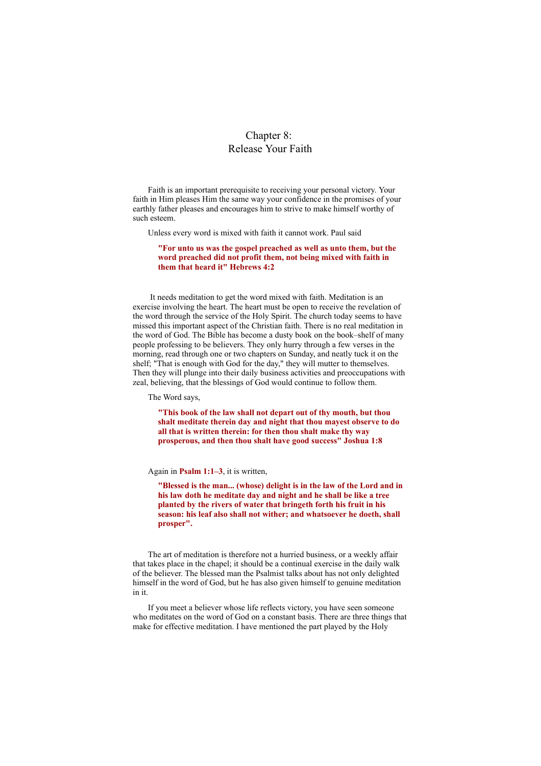# Chapter 8: Release Your Faith

Faith is an important prerequisite to receiving your personal victory. Your faith in Him pleases Him the same way your confidence in the promises of your earthly father pleases and encourages him to strive to make himself worthy of such esteem.

Unless every word is mixed with faith it cannot work. Paul said

# **"For unto us was the gospel preached as well as unto them, but the word preached did not profit them, not being mixed with faith in them that heard it" Hebrews 4:2**

It needs meditation to get the word mixed with faith. Meditation is an exercise involving the heart. The heart must be open to receive the revelation of the word through the service of the Holy Spirit. The church today seems to have missed this important aspect of the Christian faith. There is no real meditation in the word of God. The Bible has become a dusty book on the book–shelf of many people professing to be believers. They only hurry through a few verses in the morning, read through one or two chapters on Sunday, and neatly tuck it on the shelf; "That is enough with God for the day," they will mutter to themselves. Then they will plunge into their daily business activities and preoccupations with zeal, believing, that the blessings of God would continue to follow them.

The Word says,

**"This book of the law shall not depart out of thy mouth, but thou shalt meditate therein day and night that thou mayest observe to do all that is written therein: for then thou shalt make thy way prosperous, and then thou shalt have good success" Joshua 1:8**

Again in **Psalm 1:1–3**, it is written,

**"Blessed is the man... (whose) delight is in the law of the Lord and in his law doth he meditate day and night and he shall be like a tree planted by the rivers of water that bringeth forth his fruit in his season: his leaf also shall not wither; and whatsoever he doeth, shall prosper".**

The art of meditation is therefore not a hurried business, or a weekly affair that takes place in the chapel; it should be a continual exercise in the daily walk of the believer. The blessed man the Psalmist talks about has not only delighted himself in the word of God, but he has also given himself to genuine meditation in it.

If you meet a believer whose life reflects victory, you have seen someone who meditates on the word of God on a constant basis. There are three things that make for effective meditation. I have mentioned the part played by the Holy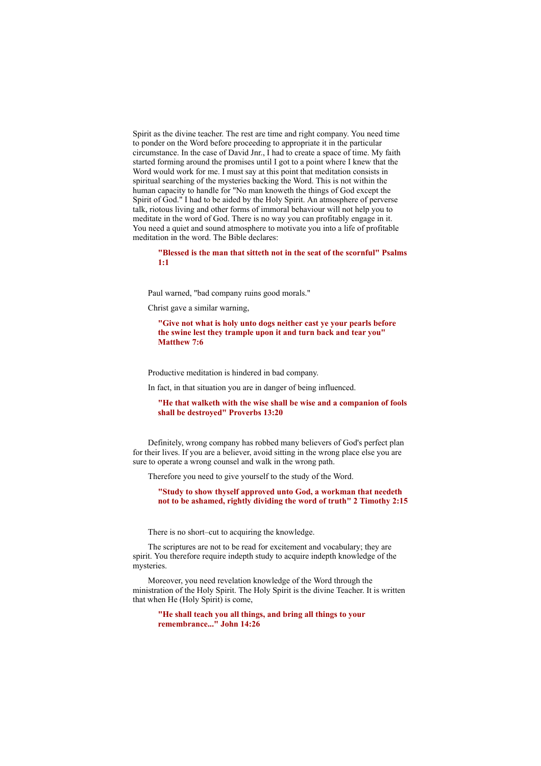Spirit as the divine teacher. The rest are time and right company. You need time to ponder on the Word before proceeding to appropriate it in the particular circumstance. In the case of David Jnr., I had to create a space of time. My faith started forming around the promises until I got to a point where I knew that the Word would work for me. I must say at this point that meditation consists in spiritual searching of the mysteries backing the Word. This is not within the human capacity to handle for "No man knoweth the things of God except the Spirit of God." I had to be aided by the Holy Spirit. An atmosphere of perverse talk, riotous living and other forms of immoral behaviour will not help you to meditate in the word of God. There is no way you can profitably engage in it. You need a quiet and sound atmosphere to motivate you into a life of profitable meditation in the word. The Bible declares:

**"Blessed is the man that sitteth not in the seat of the scornful" Psalms 1:1**

Paul warned, "bad company ruins good morals."

Christ gave a similar warning,

**"Give not what is holy unto dogs neither cast ye your pearls before the swine lest they trample upon it and turn back and tear you" Matthew 7:6**

Productive meditation is hindered in bad company.

In fact, in that situation you are in danger of being influenced.

**"He that walketh with the wise shall be wise and a companion of fools shall be destroyed" Proverbs 13:20**

Definitely, wrong company has robbed many believers of God's perfect plan for their lives. If you are a believer, avoid sitting in the wrong place else you are sure to operate a wrong counsel and walk in the wrong path.

Therefore you need to give yourself to the study of the Word.

**"Study to show thyself approved unto God, a workman that needeth not to be ashamed, rightly dividing the word of truth" 2 Timothy 2:15**

There is no short–cut to acquiring the knowledge.

The scriptures are not to be read for excitement and vocabulary; they are spirit. You therefore require indepth study to acquire indepth knowledge of the mysteries.

Moreover, you need revelation knowledge of the Word through the ministration of the Holy Spirit. The Holy Spirit is the divine Teacher. It is written that when He (Holy Spirit) is come,

**"He shall teach you all things, and bring all things to your remembrance..." John 14:26**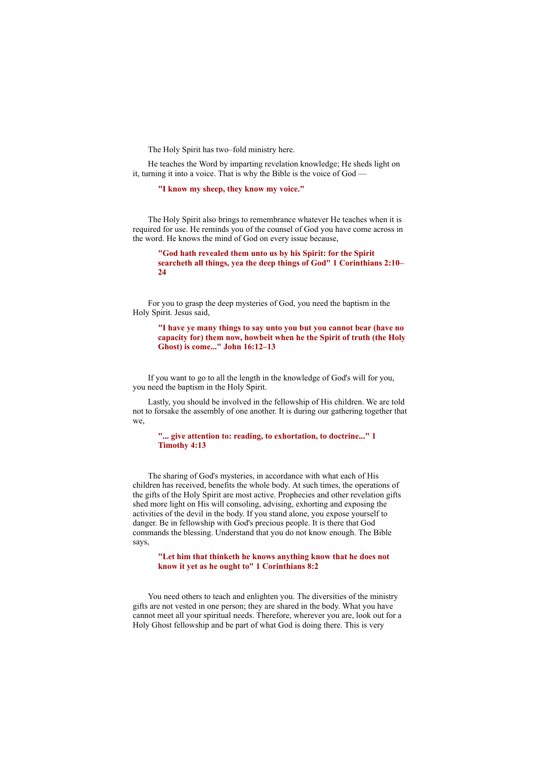The Holy Spirit has two–fold ministry here.

He teaches the Word by imparting revelation knowledge; He sheds light on it, turning it into a voice. That is why the Bible is the voice of God —

**"I know my sheep, they know my voice."**

The Holy Spirit also brings to remembrance whatever He teaches when it is required for use. He reminds you of the counsel of God you have come across in the word. He knows the mind of God on every issue because,

**"God hath revealed them unto us by his Spirit: for the Spirit searcheth all things, yea the deep things of God" 1 Corinthians 2:10– 24**

For you to grasp the deep mysteries of God, you need the baptism in the Holy Spirit. Jesus said,

**"I have ye many things to say unto you but you cannot bear (have no capacity for) them now, howbeit when he the Spirit of truth (the Holy Ghost) is come..." John 16:12–13**

If you want to go to all the length in the knowledge of God's will for you, you need the baptism in the Holy Spirit.

Lastly, you should be involved in the fellowship of His children. We are told not to forsake the assembly of one another. It is during our gathering together that we,

**"... give attention to: reading, to exhortation, to doctrine..." 1 Timothy 4:13**

The sharing of God's mysteries, in accordance with what each of His children has received, benefits the whole body. At such times, the operations of the gifts of the Holy Spirit are most active. Prophecies and other revelation gifts shed more light on His will consoling, advising, exhorting and exposing the activities of the devil in the body. If you stand alone, you expose yourself to danger. Be in fellowship with God's precious people. It is there that God commands the blessing. Understand that you do not know enough. The Bible says,

**"Let him that thinketh he knows anything know that he does not know it yet as he ought to" 1 Corinthians 8:2**

You need others to teach and enlighten you. The diversities of the ministry gifts are not vested in one person; they are shared in the body. What you have cannot meet all your spiritual needs. Therefore, wherever you are, look out for a Holy Ghost fellowship and be part of what God is doing there. This is very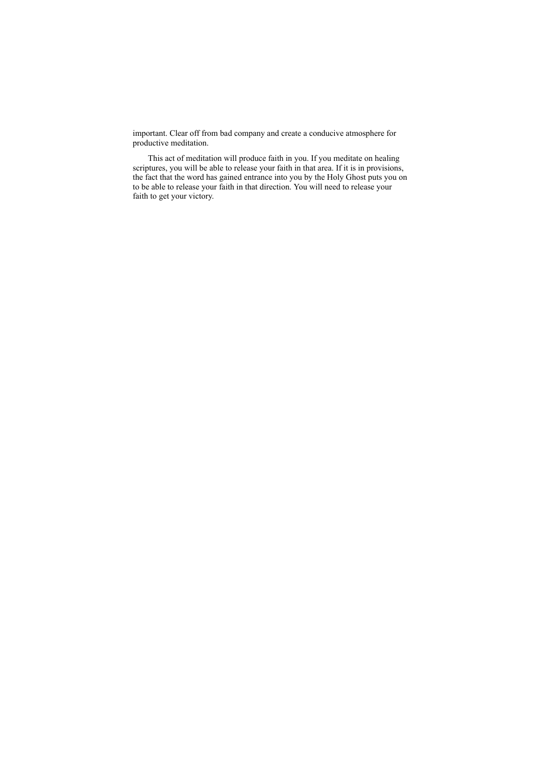important. Clear off from bad company and create a conducive atmosphere for productive meditation.

This act of meditation will produce faith in you. If you meditate on healing scriptures, you will be able to release your faith in that area. If it is in provisions, the fact that the word has gained entrance into you by the Holy Ghost puts you on to be able to release your faith in that direction. You will need to release your faith to get your victory.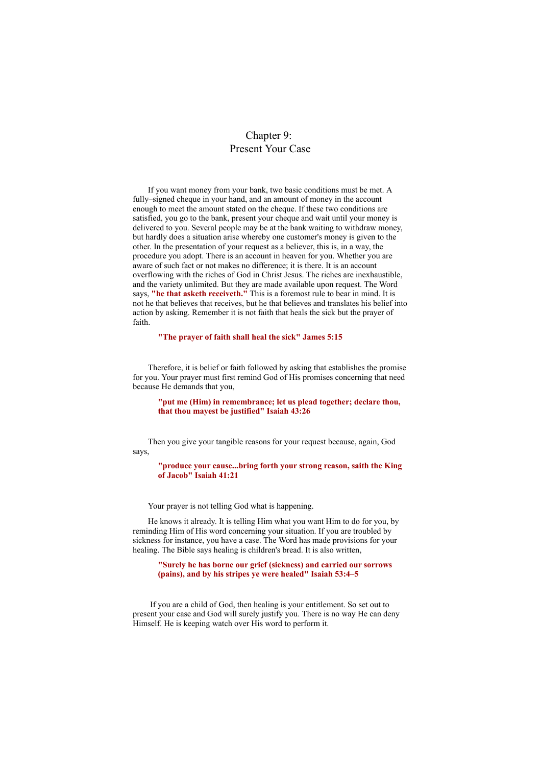# Chapter 9: Present Your Case

If you want money from your bank, two basic conditions must be met. A fully–signed cheque in your hand, and an amount of money in the account enough to meet the amount stated on the cheque. If these two conditions are satisfied, you go to the bank, present your cheque and wait until your money is delivered to you. Several people may be at the bank waiting to withdraw money, but hardly does a situation arise whereby one customer's money is given to the other. In the presentation of your request as a believer, this is, in a way, the procedure you adopt. There is an account in heaven for you. Whether you are aware of such fact or not makes no difference; it is there. It is an account overflowing with the riches of God in Christ Jesus. The riches are inexhaustible, and the variety unlimited. But they are made available upon request. The Word says, **"he that asketh receiveth."** This is a foremost rule to bear in mind. It is not he that believes that receives, but he that believes and translates his belief into action by asking. Remember it is not faith that heals the sick but the prayer of faith.

#### **"The prayer of faith shall heal the sick" James 5:15**

Therefore, it is belief or faith followed by asking that establishes the promise for you. Your prayer must first remind God of His promises concerning that need because He demands that you,

**"put me (Him) in remembrance; let us plead together; declare thou, that thou mayest be justified" Isaiah 43:26**

Then you give your tangible reasons for your request because, again, God says,

**"produce your cause...bring forth your strong reason, saith the King of Jacob" Isaiah 41:21**

Your prayer is not telling God what is happening.

He knows it already. It is telling Him what you want Him to do for you, by reminding Him of His word concerning your situation. If you are troubled by sickness for instance, you have a case. The Word has made provisions for your healing. The Bible says healing is children's bread. It is also written,

**"Surely he has borne our grief (sickness) and carried our sorrows (pains), and by his stripes ye were healed" Isaiah 53:4–5**

If you are a child of God, then healing is your entitlement. So set out to present your case and God will surely justify you. There is no way He can deny Himself. He is keeping watch over His word to perform it.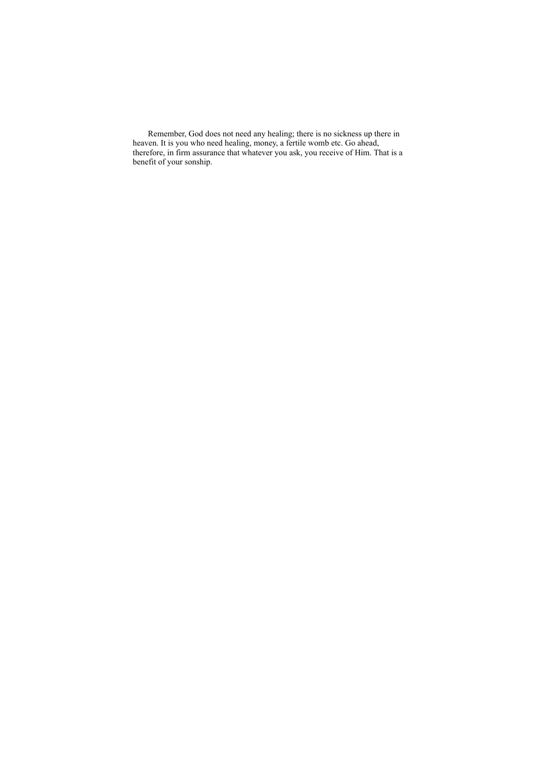Remember, God does not need any healing; there is no sickness up there in heaven. It is you who need healing, money, a fertile womb etc. Go ahead, therefore, in firm assurance that whatever you ask, you receive of Him. That is a benefit of your sonship.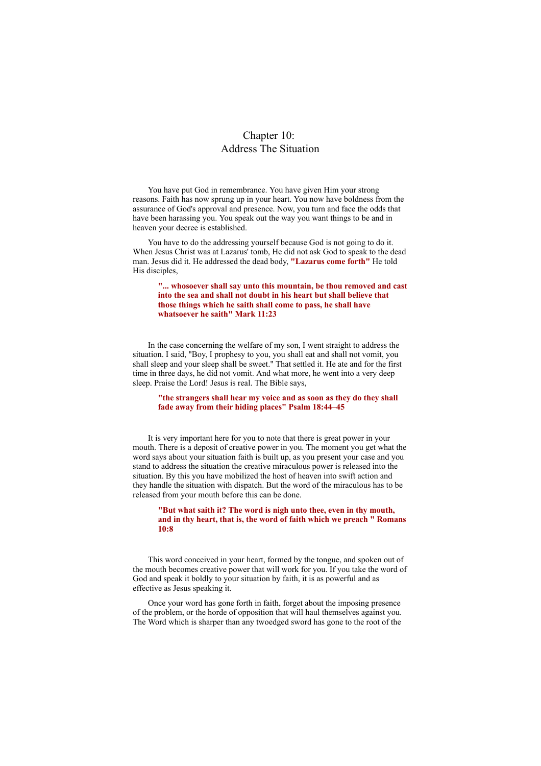# Chapter 10: Address The Situation

You have put God in remembrance. You have given Him your strong reasons. Faith has now sprung up in your heart. You now have boldness from the assurance of God's approval and presence. Now, you turn and face the odds that have been harassing you. You speak out the way you want things to be and in heaven your decree is established.

You have to do the addressing yourself because God is not going to do it. When Jesus Christ was at Lazarus' tomb, He did not ask God to speak to the dead man. Jesus did it. He addressed the dead body, **"Lazarus come forth"** He told His disciples,

# **"... whosoever shall say unto this mountain, be thou removed and cast into the sea and shall not doubt in his heart but shall believe that those things which he saith shall come to pass, he shall have whatsoever he saith" Mark 11:23**

In the case concerning the welfare of my son, I went straight to address the situation. I said, "Boy, I prophesy to you, you shall eat and shall not vomit, you shall sleep and your sleep shall be sweet." That settled it. He ate and for the first time in three days, he did not vomit. And what more, he went into a very deep sleep. Praise the Lord! Jesus is real. The Bible says,

#### **"the strangers shall hear my voice and as soon as they do they shall fade away from their hiding places" Psalm 18:44–45**

It is very important here for you to note that there is great power in your mouth. There is a deposit of creative power in you. The moment you get what the word says about your situation faith is built up, as you present your case and you stand to address the situation the creative miraculous power is released into the situation. By this you have mobilized the host of heaven into swift action and they handle the situation with dispatch. But the word of the miraculous has to be released from your mouth before this can be done.

#### **"But what saith it? The word is nigh unto thee, even in thy mouth, and in thy heart, that is, the word of faith which we preach " Romans 10:8**

This word conceived in your heart, formed by the tongue, and spoken out of the mouth becomes creative power that will work for you. If you take the word of God and speak it boldly to your situation by faith, it is as powerful and as effective as Jesus speaking it.

Once your word has gone forth in faith, forget about the imposing presence of the problem, or the horde of opposition that will haul themselves against you. The Word which is sharper than any twoedged sword has gone to the root of the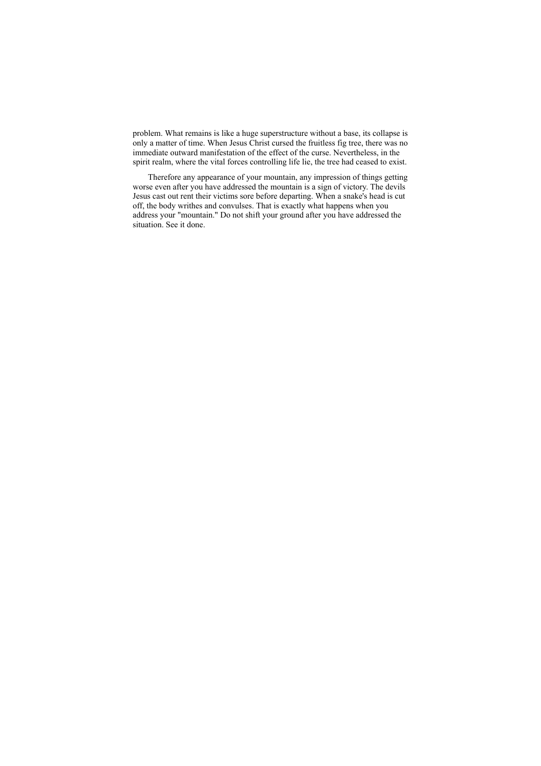problem. What remains is like a huge superstructure without a base, its collapse is only a matter of time. When Jesus Christ cursed the fruitless fig tree, there was no immediate outward manifestation of the effect of the curse. Nevertheless, in the spirit realm, where the vital forces controlling life lie, the tree had ceased to exist.

Therefore any appearance of your mountain, any impression of things getting worse even after you have addressed the mountain is a sign of victory. The devils Jesus cast out rent their victims sore before departing. When a snake's head is cut off, the body writhes and convulses. That is exactly what happens when you address your "mountain." Do not shift your ground after you have addressed the situation. See it done.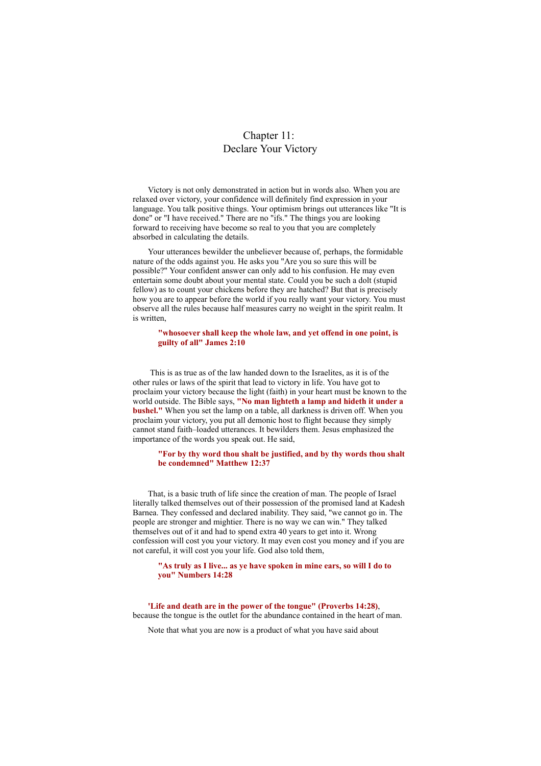# Chapter 11: Declare Your Victory

Victory is not only demonstrated in action but in words also. When you are relaxed over victory, your confidence will definitely find expression in your language. You talk positive things. Your optimism brings out utterances like "It is done" or "I have received." There are no "ifs." The things you are looking forward to receiving have become so real to you that you are completely absorbed in calculating the details.

Your utterances bewilder the unbeliever because of, perhaps, the formidable nature of the odds against you. He asks you "Are you so sure this will be possible?" Your confident answer can only add to his confusion. He may even entertain some doubt about your mental state. Could you be such a dolt (stupid fellow) as to count your chickens before they are hatched? But that is precisely how you are to appear before the world if you really want your victory. You must observe all the rules because half measures carry no weight in the spirit realm. It is written,

#### **"whosoever shall keep the whole law, and yet offend in one point, is guilty of all" James 2:10**

This is as true as of the law handed down to the Israelites, as it is of the other rules or laws of the spirit that lead to victory in life. You have got to proclaim your victory because the light (faith) in your heart must be known to the world outside. The Bible says, **"No man lighteth a lamp and hideth it under a bushel."** When you set the lamp on a table, all darkness is driven off. When you proclaim your victory, you put all demonic host to flight because they simply cannot stand faith–loaded utterances. It bewilders them. Jesus emphasized the importance of the words you speak out. He said,

### **"For by thy word thou shalt be justified, and by thy words thou shalt be condemned" Matthew 12:37**

That, is a basic truth of life since the creation of man. The people of Israel literally talked themselves out of their possession of the promised land at Kadesh Barnea. They confessed and declared inability. They said, "we cannot go in. The people are stronger and mightier. There is no way we can win." They talked themselves out of it and had to spend extra 40 years to get into it. Wrong confession will cost you your victory. It may even cost you money and if you are not careful, it will cost you your life. God also told them,

### **"As truly as I live... as ye have spoken in mine ears, so will I do to you" Numbers 14:28**

**'Life and death are in the power of the tongue" (Proverbs 14:28)**, because the tongue is the outlet for the abundance contained in the heart of man.

Note that what you are now is a product of what you have said about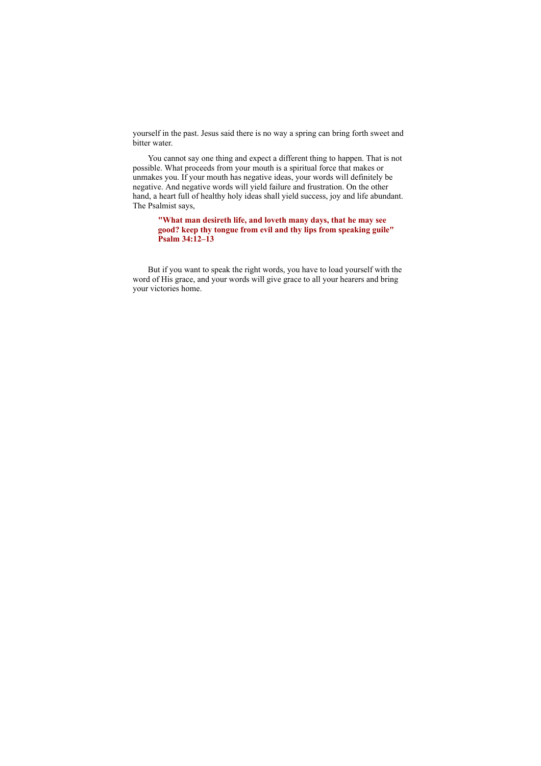yourself in the past. Jesus said there is no way a spring can bring forth sweet and bitter water.

You cannot say one thing and expect a different thing to happen. That is not possible. What proceeds from your mouth is a spiritual force that makes or unmakes you. If your mouth has negative ideas, your words will definitely be negative. And negative words will yield failure and frustration. On the other hand, a heart full of healthy holy ideas shall yield success, joy and life abundant. The Psalmist says,

**"What man desireth life, and loveth many days, that he may see good? keep thy tongue from evil and thy lips from speaking guile" Psalm 34:12–13**

But if you want to speak the right words, you have to load yourself with the word of His grace, and your words will give grace to all your hearers and bring your victories home.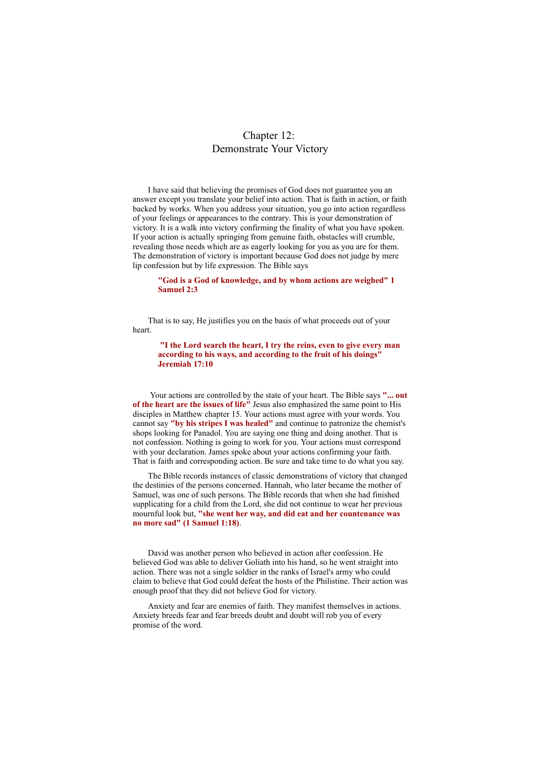# Chapter 12: Demonstrate Your Victory

I have said that believing the promises of God does not guarantee you an answer except you translate your belief into action. That is faith in action, or faith backed by works. When you address your situation, you go into action regardless of your feelings or appearances to the contrary. This is your demonstration of victory. It is a walk into victory confirming the finality of what you have spoken. If your action is actually springing from genuine faith, obstacles will crumble, revealing those needs which are as eagerly looking for you as you are for them. The demonstration of victory is important because God does not judge by mere lip confession but by life expression. The Bible says

#### **"God is a God of knowledge, and by whom actions are weighed" 1 Samuel 2:3**

That is to say, He justifies you on the basis of what proceeds out of your heart.

**"I the Lord search the heart, I try the reins, even to give every man according to his ways, and according to the fruit of his doings" Jeremiah 17:10**

Your actions are controlled by the state of your heart. The Bible says **"... out of the heart are the issues of life"** Jesus also emphasized the same point to His disciples in Matthew chapter 15. Your actions must agree with your words. You cannot say **"by his stripes I was healed"** and continue to patronize the chemist's shops looking for Panadol. You are saying one thing and doing another. That is not confession. Nothing is going to work for you. Your actions must correspond with your declaration. James spoke about your actions confirming your faith. That is faith and corresponding action. Be sure and take time to do what you say.

The Bible records instances of classic demonstrations of victory that changed the destinies of the persons concerned. Hannah, who later became the mother of Samuel, was one of such persons. The Bible records that when she had finished supplicating for a child from the Lord, she did not continue to wear her previous mournful look but, **"she went her way, and did eat and her countenance was no more sad" (1 Samuel 1:18)**.

David was another person who believed in action after confession. He believed God was able to deliver Goliath into his hand, so he went straight into action. There was not a single soldier in the ranks of Israel's army who could claim to believe that God could defeat the hosts of the Philistine. Their action was enough proof that they did not believe God for victory.

Anxiety and fear are enemies of faith. They manifest themselves in actions. Anxiety breeds fear and fear breeds doubt and doubt will rob you of every promise of the word.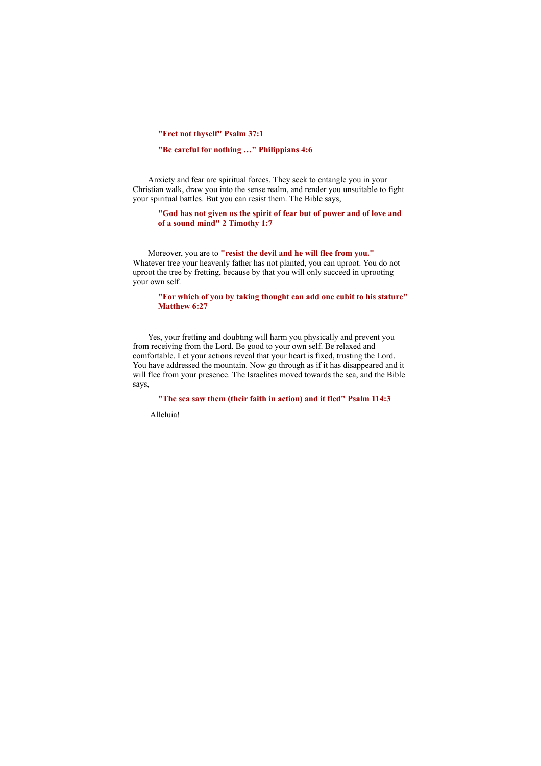**"Fret not thyself" Psalm 37:1**

# **"Be careful for nothing …" Philippians 4:6**

Anxiety and fear are spiritual forces. They seek to entangle you in your Christian walk, draw you into the sense realm, and render you unsuitable to fight your spiritual battles. But you can resist them. The Bible says,

# **"God has not given us the spirit of fear but of power and of love and of a sound mind" 2 Timothy 1:7**

Moreover, you are to **"resist the devil and he will flee from you."** Whatever tree your heavenly father has not planted, you can uproot. You do not uproot the tree by fretting, because by that you will only succeed in uprooting your own self.

# **"For which of you by taking thought can add one cubit to his stature" Matthew 6:27**

Yes, your fretting and doubting will harm you physically and prevent you from receiving from the Lord. Be good to your own self. Be relaxed and comfortable. Let your actions reveal that your heart is fixed, trusting the Lord. You have addressed the mountain. Now go through as if it has disappeared and it will flee from your presence. The Israelites moved towards the sea, and the Bible says,

**"The sea saw them (their faith in action) and it fled" Psalm 114:3**

Alleluia!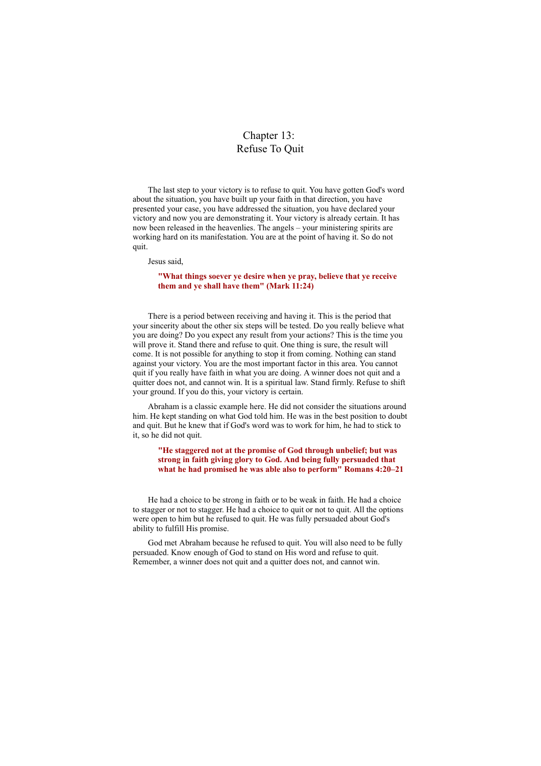# Chapter 13: Refuse To Quit

The last step to your victory is to refuse to quit. You have gotten God's word about the situation, you have built up your faith in that direction, you have presented your case, you have addressed the situation, you have declared your victory and now you are demonstrating it. Your victory is already certain. It has now been released in the heavenlies. The angels – your ministering spirits are working hard on its manifestation. You are at the point of having it. So do not quit.

Jesus said,

# **"What things soever ye desire when ye pray, believe that ye receive them and ye shall have them" (Mark 11:24)**

There is a period between receiving and having it. This is the period that your sincerity about the other six steps will be tested. Do you really believe what you are doing? Do you expect any result from your actions? This is the time you will prove it. Stand there and refuse to quit. One thing is sure, the result will come. It is not possible for anything to stop it from coming. Nothing can stand against your victory. You are the most important factor in this area. You cannot quit if you really have faith in what you are doing. A winner does not quit and a quitter does not, and cannot win. It is a spiritual law. Stand firmly. Refuse to shift your ground. If you do this, your victory is certain.

Abraham is a classic example here. He did not consider the situations around him. He kept standing on what God told him. He was in the best position to doubt and quit. But he knew that if God's word was to work for him, he had to stick to it, so he did not quit.

# **"He staggered not at the promise of God through unbelief; but was strong in faith giving glory to God. And being fully persuaded that what he had promised he was able also to perform" Romans 4:20–21**

He had a choice to be strong in faith or to be weak in faith. He had a choice to stagger or not to stagger. He had a choice to quit or not to quit. All the options were open to him but he refused to quit. He was fully persuaded about God's ability to fulfill His promise.

God met Abraham because he refused to quit. You will also need to be fully persuaded. Know enough of God to stand on His word and refuse to quit. Remember, a winner does not quit and a quitter does not, and cannot win.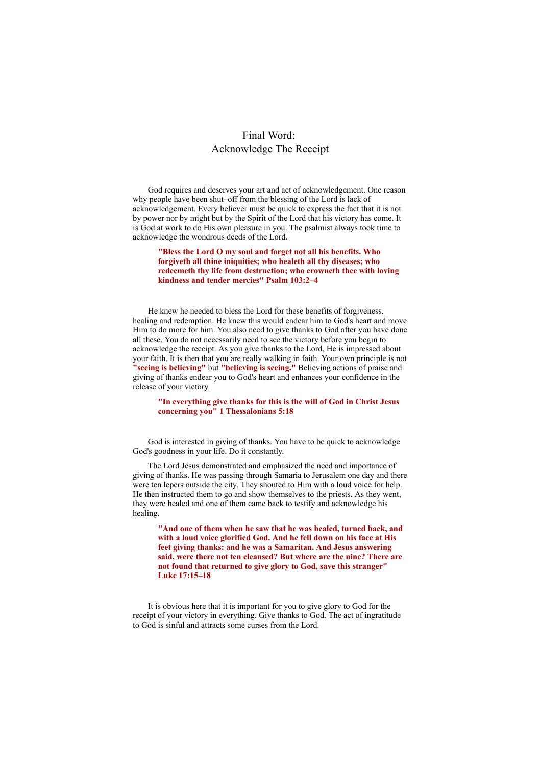# Final Word: Acknowledge The Receipt

God requires and deserves your art and act of acknowledgement. One reason why people have been shut–off from the blessing of the Lord is lack of acknowledgement. Every believer must be quick to express the fact that it is not by power nor by might but by the Spirit of the Lord that his victory has come. It is God at work to do His own pleasure in you. The psalmist always took time to acknowledge the wondrous deeds of the Lord.

**"Bless the Lord O my soul and forget not all his benefits. Who forgiveth all thine iniquities; who healeth all thy diseases; who redeemeth thy life from destruction; who crowneth thee with loving kindness and tender mercies" Psalm 103:2–4**

He knew he needed to bless the Lord for these benefits of forgiveness, healing and redemption. He knew this would endear him to God's heart and move Him to do more for him. You also need to give thanks to God after you have done all these. You do not necessarily need to see the victory before you begin to acknowledge the receipt. As you give thanks to the Lord, He is impressed about your faith. It is then that you are really walking in faith. Your own principle is not **"seeing is believing"** but **"believing is seeing."** Believing actions of praise and giving of thanks endear you to God's heart and enhances your confidence in the release of your victory.

# **"In everything give thanks for this is the will of God in Christ Jesus concerning you" 1 Thessalonians 5:18**

God is interested in giving of thanks. You have to be quick to acknowledge God's goodness in your life. Do it constantly.

The Lord Jesus demonstrated and emphasized the need and importance of giving of thanks. He was passing through Samaria to Jerusalem one day and there were ten lepers outside the city. They shouted to Him with a loud voice for help. He then instructed them to go and show themselves to the priests. As they went, they were healed and one of them came back to testify and acknowledge his healing.

**"And one of them when he saw that he was healed, turned back, and with a loud voice glorified God. And he fell down on his face at His feet giving thanks: and he was a Samaritan. And Jesus answering said, were there not ten cleansed? But where are the nine? There are not found that returned to give glory to God, save this stranger" Luke 17:15–18**

It is obvious here that it is important for you to give glory to God for the receipt of your victory in everything. Give thanks to God. The act of ingratitude to God is sinful and attracts some curses from the Lord.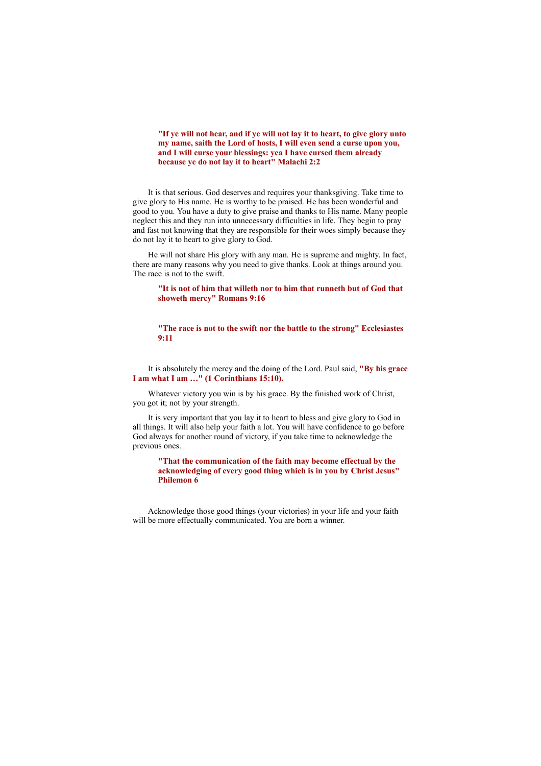# **"If ye will not hear, and if ye will not lay it to heart, to give glory unto my name, saith the Lord of hosts, I will even send a curse upon you, and I will curse your blessings: yea I have cursed them already because ye do not lay it to heart" Malachi 2:2**

It is that serious. God deserves and requires your thanksgiving. Take time to give glory to His name. He is worthy to be praised. He has been wonderful and good to you. You have a duty to give praise and thanks to His name. Many people neglect this and they run into unnecessary difficulties in life. They begin to pray and fast not knowing that they are responsible for their woes simply because they do not lay it to heart to give glory to God.

He will not share His glory with any man. He is supreme and mighty. In fact, there are many reasons why you need to give thanks. Look at things around you. The race is not to the swift.

### **"It is not of him that willeth nor to him that runneth but of God that showeth mercy" Romans 9:16**

#### **"The race is not to the swift nor the battle to the strong" Ecclesiastes 9:11**

It is absolutely the mercy and the doing of the Lord. Paul said, **"By his grace I am what I am …" (1 Corinthians 15:10).**

Whatever victory you win is by his grace. By the finished work of Christ, you got it; not by your strength.

It is very important that you lay it to heart to bless and give glory to God in all things. It will also help your faith a lot. You will have confidence to go before God always for another round of victory, if you take time to acknowledge the previous ones.

**"That the communication of the faith may become effectual by the acknowledging of every good thing which is in you by Christ Jesus" Philemon 6**

Acknowledge those good things (your victories) in your life and your faith will be more effectually communicated. You are born a winner.